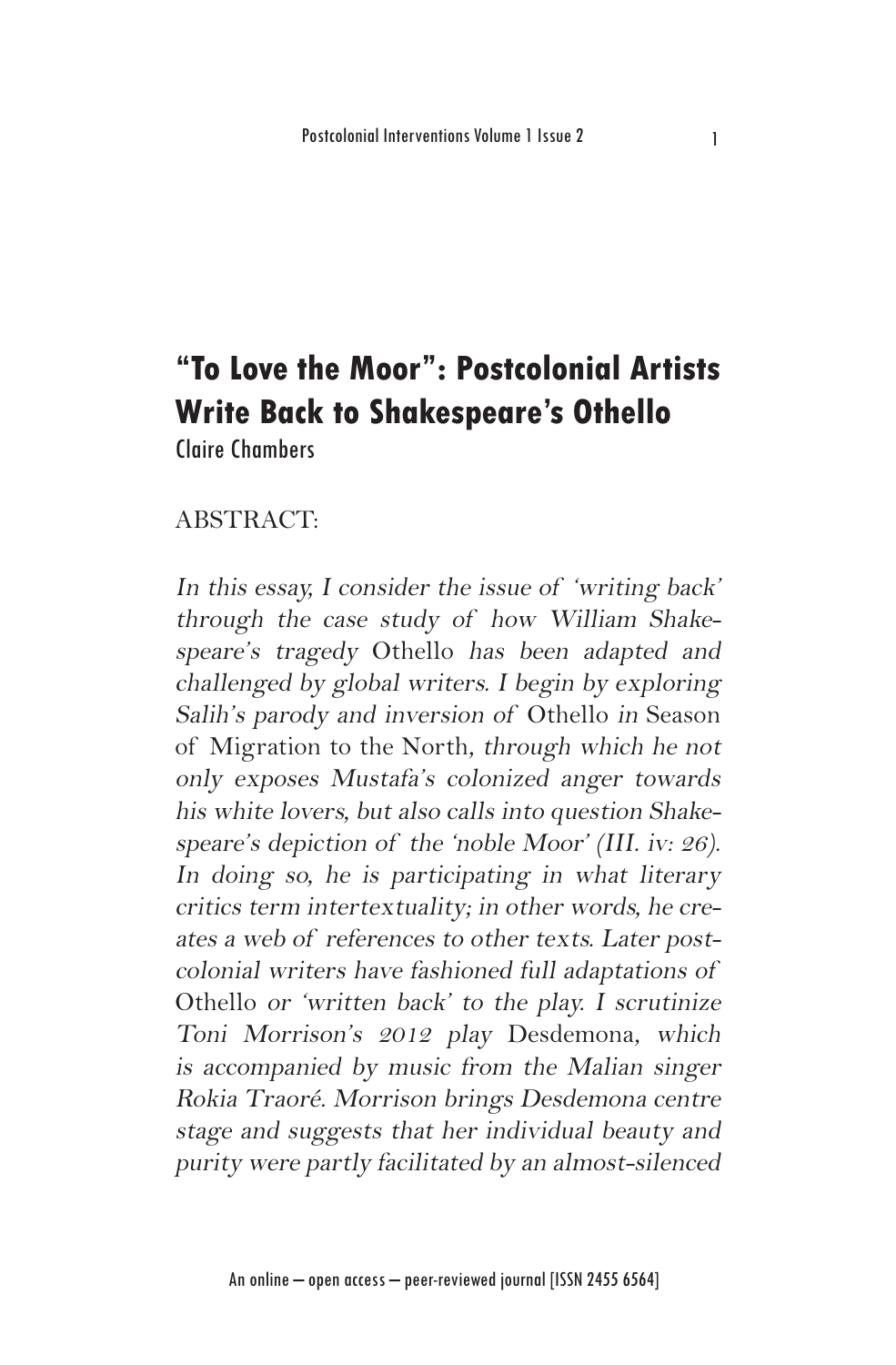# **"To Love the Moor": Postcolonial Artists Write Back to Shakespeare's Othello**

Claire Chambers

## ABSTRACT:

In this essay, I consider the issue of 'writing back' through the case study of how William Shakespeare's tragedy Othello has been adapted and challenged by global writers. I begin by exploring Salih's parody and inversion of Othello in Season of Migration to the North, through which he not only exposes Mustafa's colonized anger towards his white lovers, but also calls into question Shakespeare's depiction of the 'noble Moor' (III. iv: 26). In doing so, he is participating in what literary critics term intertextuality; in other words, he creates a web of references to other texts. Later postcolonial writers have fashioned full adaptations of Othello or 'written back' to the play. I scrutinize Toni Morrison's 2012 play Desdemona, which is accompanied by music from the Malian singer Rokia Traoré. Morrison brings Desdemona centre stage and suggests that her individual beauty and purity were partly facilitated by an almost-silenced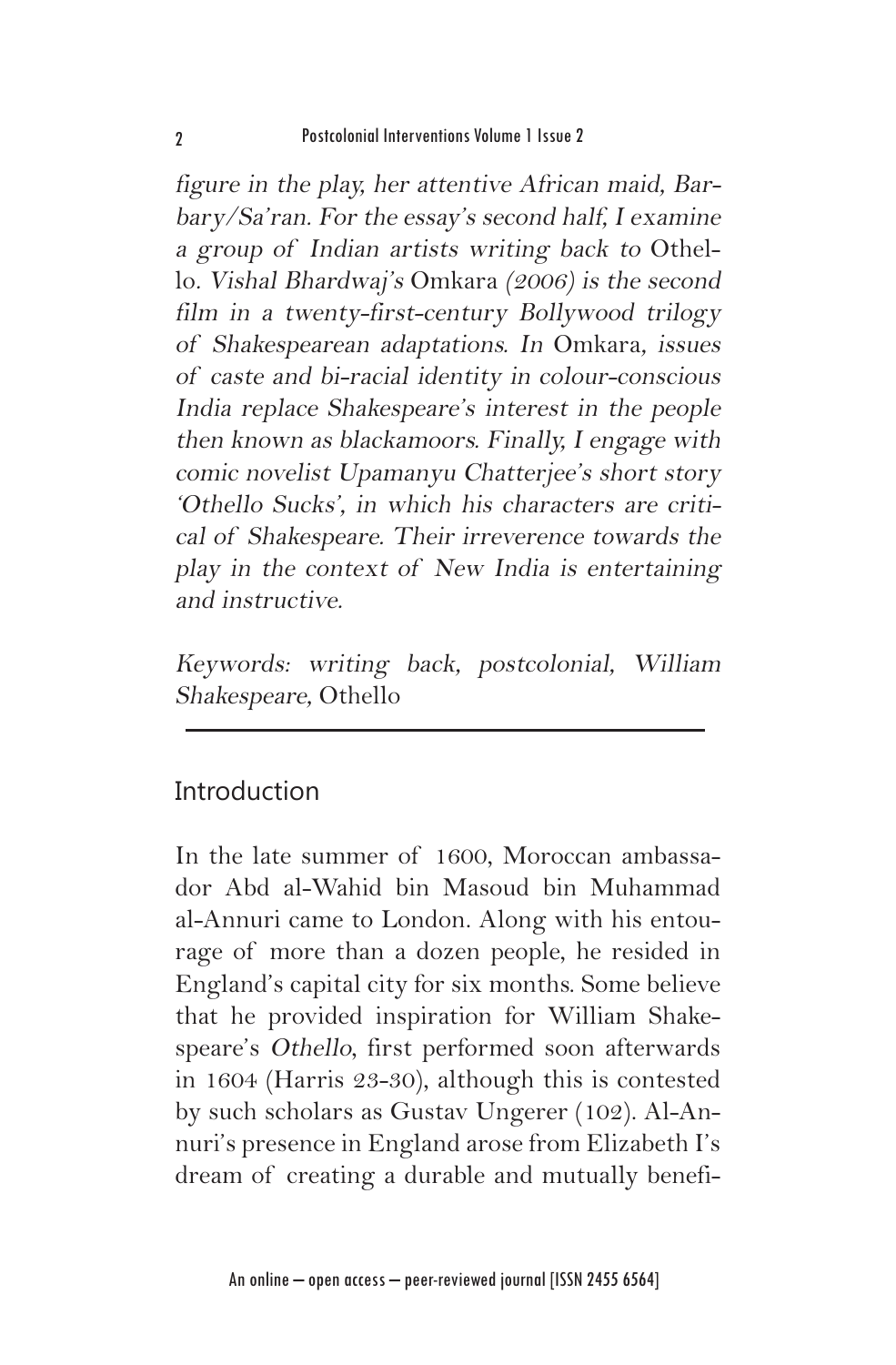figure in the play, her attentive African maid, Barbary/Sa'ran. For the essay's second half, I examine a group of Indian artists writing back to Othello. Vishal Bhardwaj's Omkara (2006) is the second film in a twenty-first-century Bollywood trilogy of Shakespearean adaptations. In Omkara, issues of caste and bi-racial identity in colour-conscious India replace Shakespeare's interest in the people then known as blackamoors. Finally, I engage with comic novelist Upamanyu Chatterjee's short story 'Othello Sucks', in which his characters are critical of Shakespeare. Their irreverence towards the play in the context of New India is entertaining and instructive.

Keywords: writing back, postcolonial, William Shakespeare, Othello

# **Introduction**

In the late summer of 1600, Moroccan ambassador Abd al-Wahid bin Masoud bin Muhammad al-Annuri came to London. Along with his entourage of more than a dozen people, he resided in England's capital city for six months. Some believe that he provided inspiration for William Shakespeare's Othello, first performed soon afterwards in 1604 (Harris 23-30), although this is contested by such scholars as Gustav Ungerer (102). Al-Annuri's presence in England arose from Elizabeth I's dream of creating a durable and mutually benefi-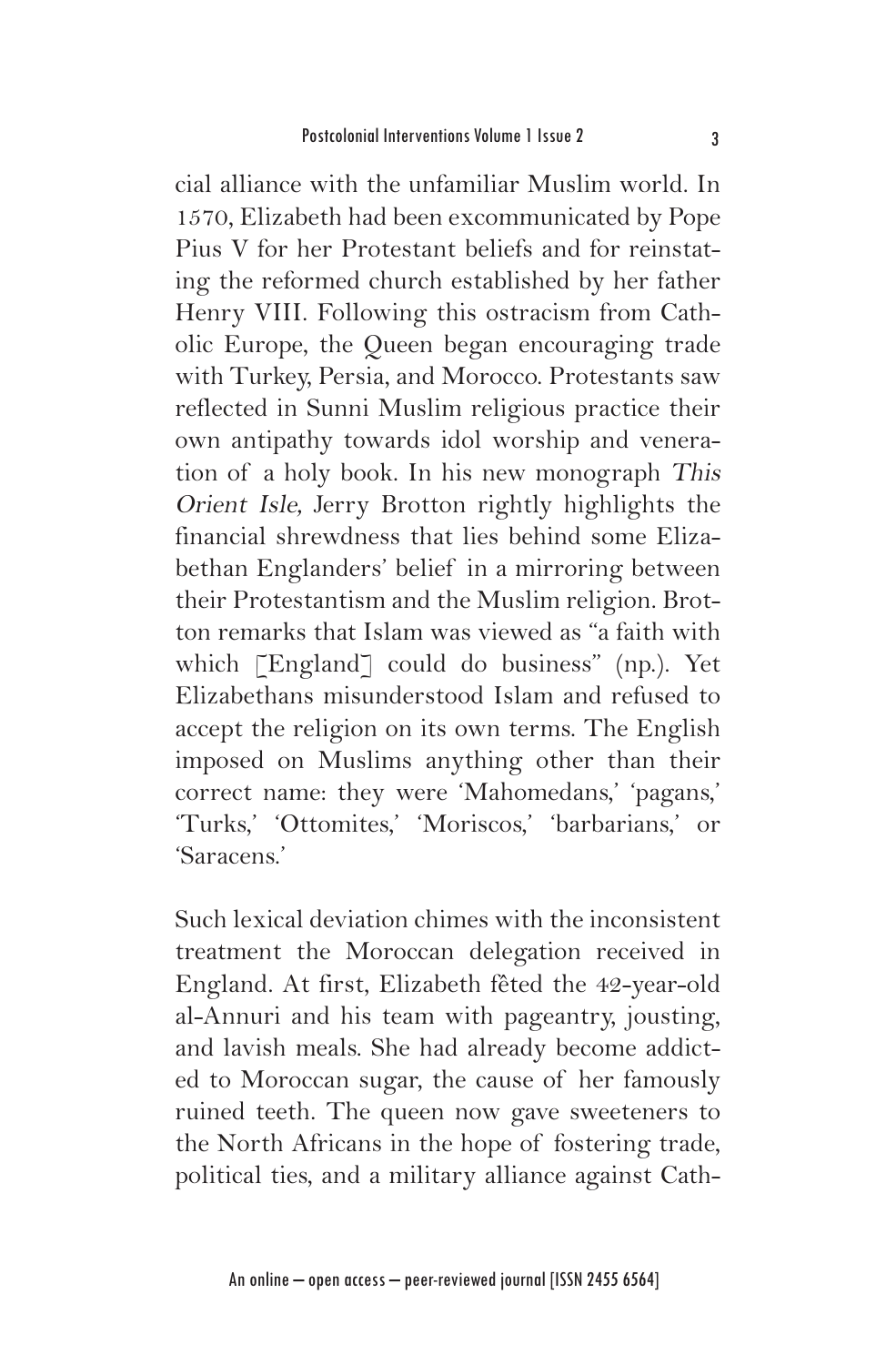cial alliance with the unfamiliar Muslim world. In 1570, Elizabeth had been excommunicated by Pope Pius V for her Protestant beliefs and for reinstating the reformed church established by her father Henry VIII. Following this ostracism from Catholic Europe, the Queen began encouraging trade with Turkey, Persia, and Morocco. Protestants saw reflected in Sunni Muslim religious practice their own antipathy towards idol worship and veneration of a holy book. In his new monograph This Orient Isle, Jerry Brotton rightly highlights the financial shrewdness that lies behind some Elizabethan Englanders' belief in a mirroring between their Protestantism and the Muslim religion. Brotton remarks that Islam was viewed as "a faith with which [England] could do business" (np.). Yet Elizabethans misunderstood Islam and refused to accept the religion on its own terms. The English imposed on Muslims anything other than their correct name: they were 'Mahomedans,' 'pagans,' 'Turks,' 'Ottomites,' 'Moriscos,' 'barbarians,' or 'Saracens.'

Such lexical deviation chimes with the inconsistent treatment the Moroccan delegation received in England. At first, Elizabeth fêted the 42-year-old al-Annuri and his team with pageantry, jousting, and lavish meals. She had already become addicted to Moroccan sugar, the cause of her famously ruined teeth. The queen now gave sweeteners to the North Africans in the hope of fostering trade, political ties, and a military alliance against Cath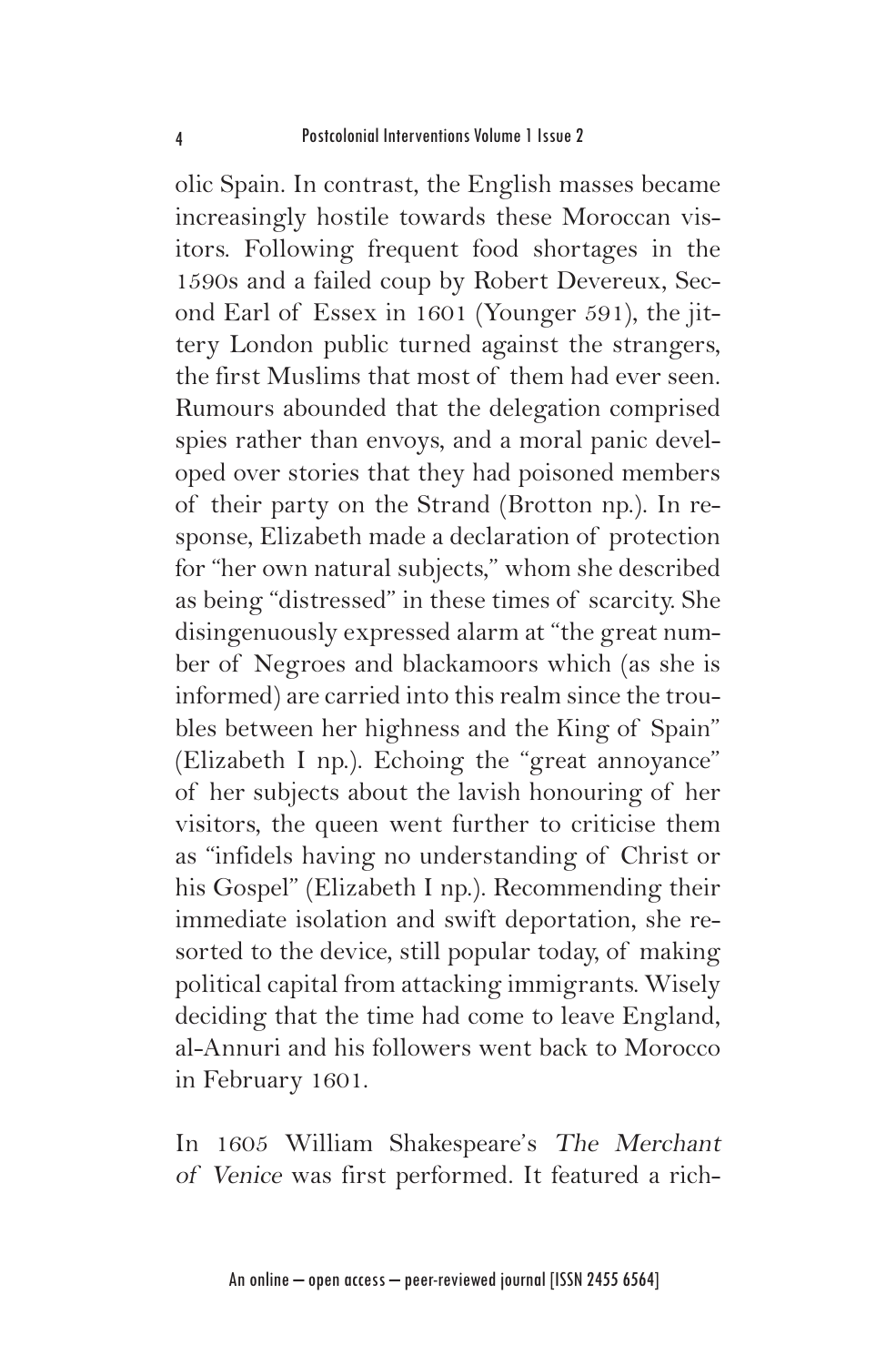olic Spain. In contrast, the English masses became increasingly hostile towards these Moroccan visitors. Following frequent food shortages in the 1590s and a failed coup by Robert Devereux, Second Earl of Essex in 1601 (Younger 591), the jittery London public turned against the strangers, the first Muslims that most of them had ever seen. Rumours abounded that the delegation comprised spies rather than envoys, and a moral panic developed over stories that they had poisoned members of their party on the Strand (Brotton np.). In response, Elizabeth made a declaration of protection for "her own natural subjects," whom she described as being "distressed" in these times of scarcity. She disingenuously expressed alarm at "the great number of Negroes and blackamoors which (as she is informed) are carried into this realm since the troubles between her highness and the King of Spain" (Elizabeth I np.). Echoing the "great annoyance" of her subjects about the lavish honouring of her visitors, the queen went further to criticise them as "infidels having no understanding of Christ or his Gospel" (Elizabeth I np.). Recommending their immediate isolation and swift deportation, she resorted to the device, still popular today, of making political capital from attacking immigrants. Wisely deciding that the time had come to leave England, al-Annuri and his followers went back to Morocco in February 1601.

In 1605 William Shakespeare's The Merchant of Venice was first performed. It featured a rich-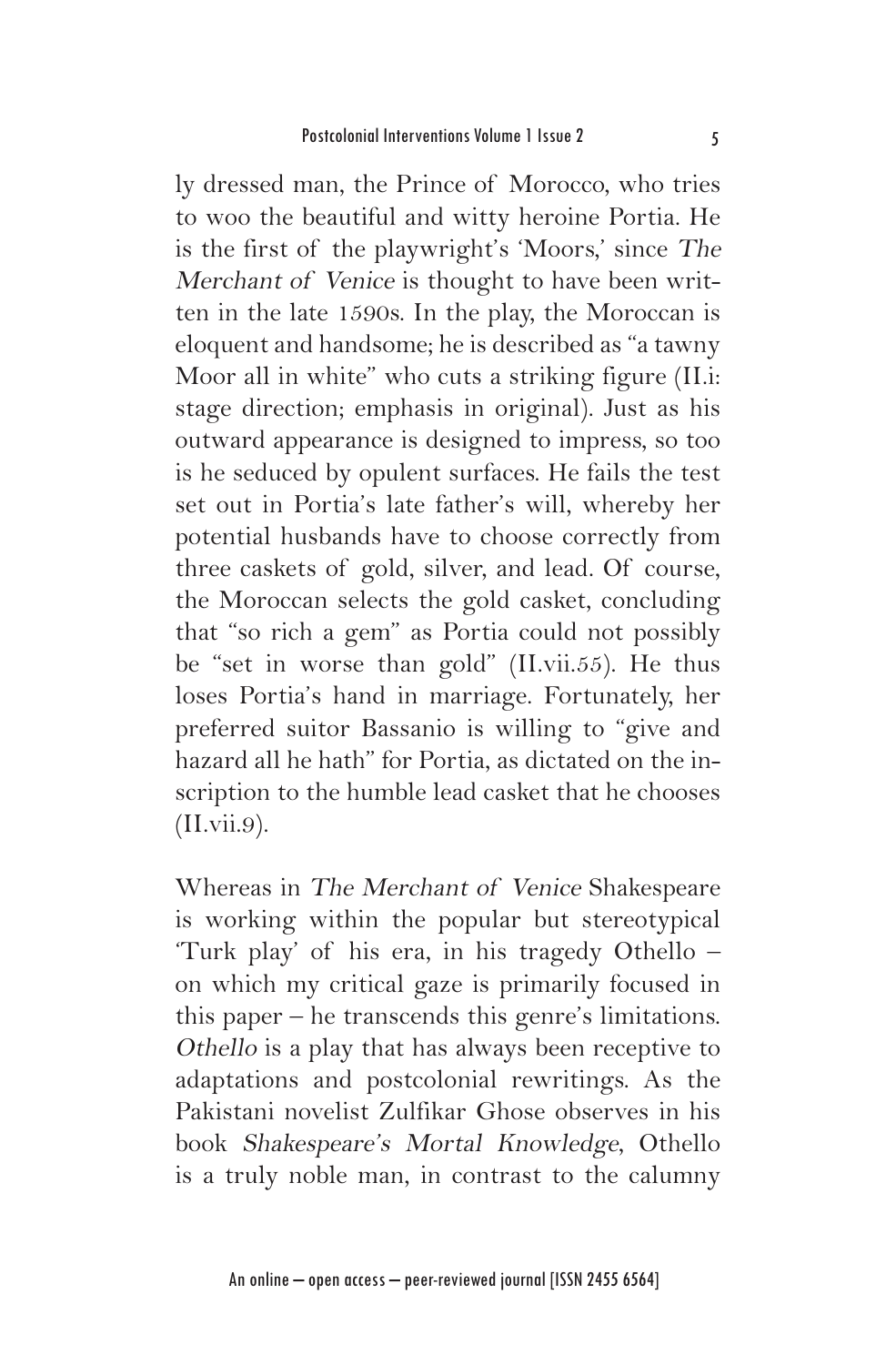ly dressed man, the Prince of Morocco, who tries to woo the beautiful and witty heroine Portia. He is the first of the playwright's 'Moors,' since The Merchant of Venice is thought to have been written in the late 1590s. In the play, the Moroccan is eloquent and handsome; he is described as "a tawny Moor all in white" who cuts a striking figure (II.i: stage direction; emphasis in original). Just as his outward appearance is designed to impress, so too is he seduced by opulent surfaces. He fails the test set out in Portia's late father's will, whereby her potential husbands have to choose correctly from three caskets of gold, silver, and lead. Of course, the Moroccan selects the gold casket, concluding that "so rich a gem" as Portia could not possibly be "set in worse than gold" (II.vii.55). He thus loses Portia's hand in marriage. Fortunately, her preferred suitor Bassanio is willing to "give and hazard all he hath" for Portia, as dictated on the inscription to the humble lead casket that he chooses (II.vii.9).

Whereas in The Merchant of Venice Shakespeare is working within the popular but stereotypical 'Turk play' of his era, in his tragedy Othello – on which my critical gaze is primarily focused in this paper – he transcends this genre's limitations. Othello is a play that has always been receptive to adaptations and postcolonial rewritings. As the Pakistani novelist Zulfikar Ghose observes in his book Shakespeare's Mortal Knowledge, Othello is a truly noble man, in contrast to the calumny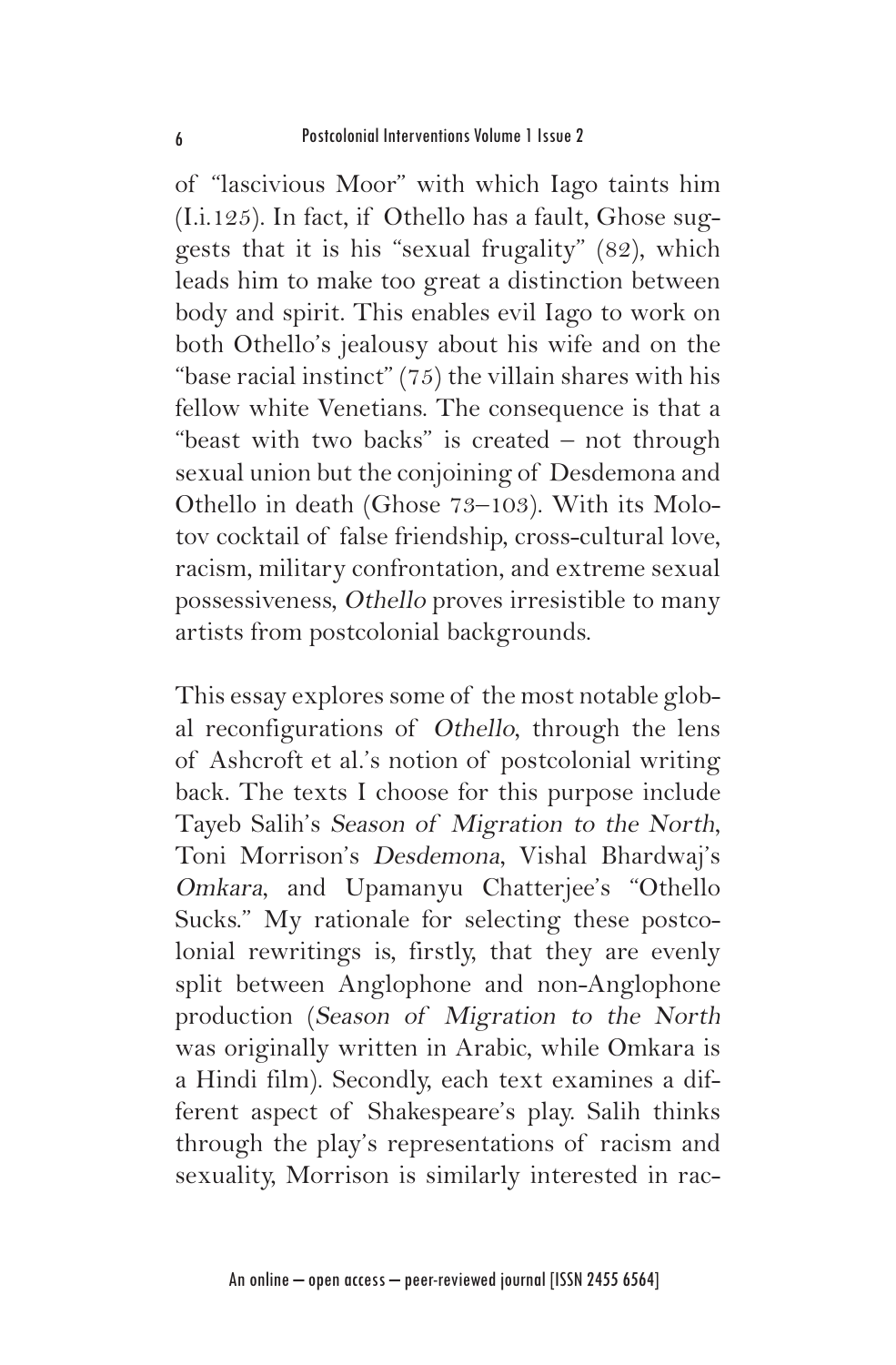of "lascivious Moor" with which Iago taints him (I.i.125). In fact, if Othello has a fault, Ghose suggests that it is his "sexual frugality" (82), which leads him to make too great a distinction between body and spirit. This enables evil Iago to work on both Othello's jealousy about his wife and on the "base racial instinct"  $(75)$  the villain shares with his fellow white Venetians. The consequence is that a "beast with two backs" is created – not through sexual union but the conjoining of Desdemona and Othello in death (Ghose 73–103). With its Molotov cocktail of false friendship, cross-cultural love, racism, military confrontation, and extreme sexual possessiveness, Othello proves irresistible to many artists from postcolonial backgrounds.

This essay explores some of the most notable global reconfigurations of Othello, through the lens of Ashcroft et al.'s notion of postcolonial writing back. The texts I choose for this purpose include Tayeb Salih's Season of Migration to the North, Toni Morrison's Desdemona, Vishal Bhardwaj's Omkara, and Upamanyu Chatterjee's "Othello Sucks." My rationale for selecting these postcolonial rewritings is, firstly, that they are evenly split between Anglophone and non-Anglophone production (Season of Migration to the North was originally written in Arabic, while Omkara is a Hindi film). Secondly, each text examines a different aspect of Shakespeare's play. Salih thinks through the play's representations of racism and sexuality, Morrison is similarly interested in rac-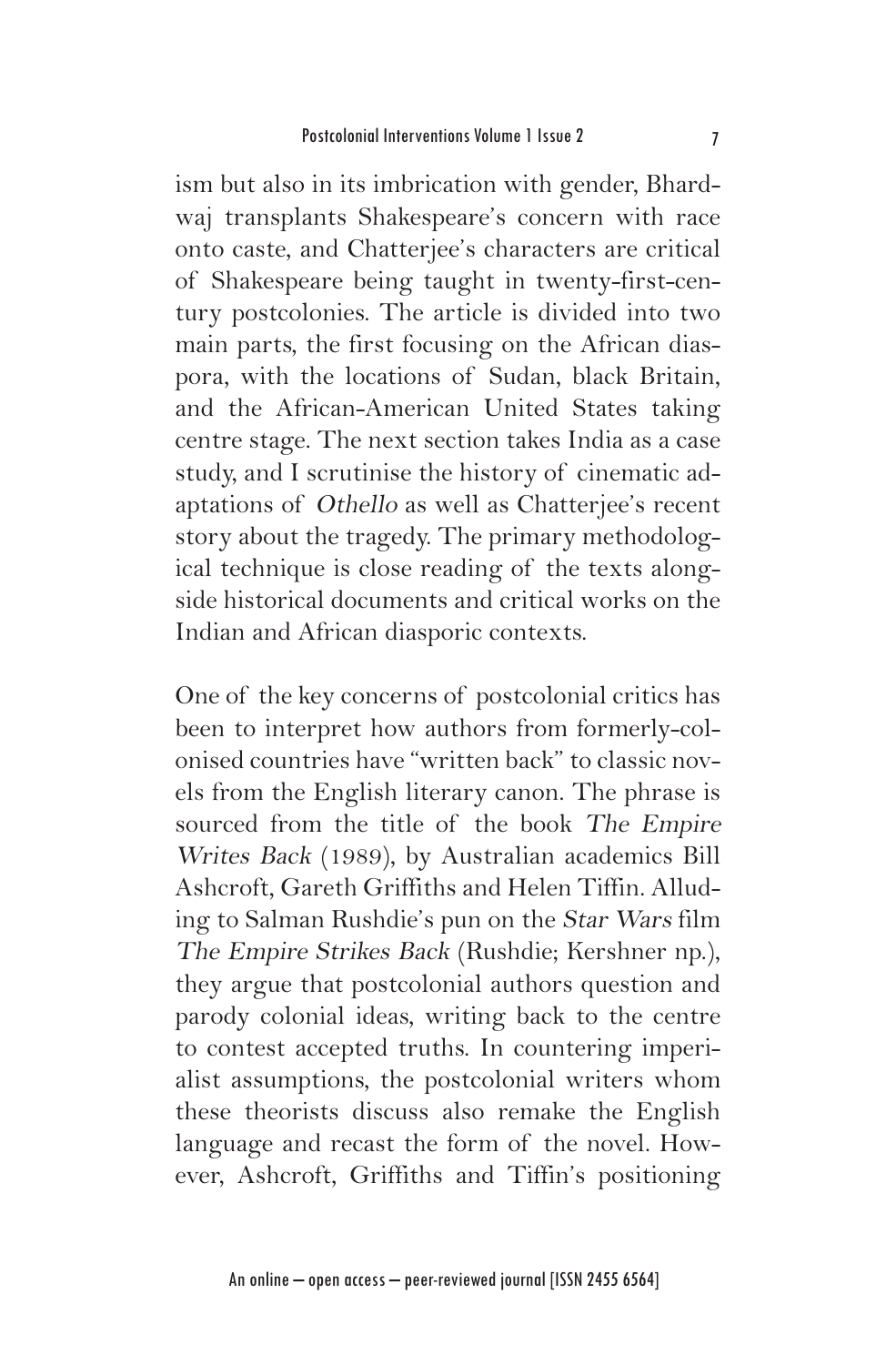ism but also in its imbrication with gender, Bhardwaj transplants Shakespeare's concern with race onto caste, and Chatterjee's characters are critical of Shakespeare being taught in twenty-first-century postcolonies. The article is divided into two main parts, the first focusing on the African diaspora, with the locations of Sudan, black Britain, and the African-American United States taking centre stage. The next section takes India as a case study, and I scrutinise the history of cinematic adaptations of Othello as well as Chatterjee's recent story about the tragedy. The primary methodological technique is close reading of the texts alongside historical documents and critical works on the Indian and African diasporic contexts.

One of the key concerns of postcolonial critics has been to interpret how authors from formerly-colonised countries have "written back" to classic novels from the English literary canon. The phrase is sourced from the title of the book The Empire Writes Back (1989), by Australian academics Bill Ashcroft, Gareth Griffiths and Helen Tiffin. Alluding to Salman Rushdie's pun on the Star Wars film The Empire Strikes Back (Rushdie; Kershner np.), they argue that postcolonial authors question and parody colonial ideas, writing back to the centre to contest accepted truths. In countering imperialist assumptions, the postcolonial writers whom these theorists discuss also remake the English language and recast the form of the novel. However, Ashcroft, Griffiths and Tiffin's positioning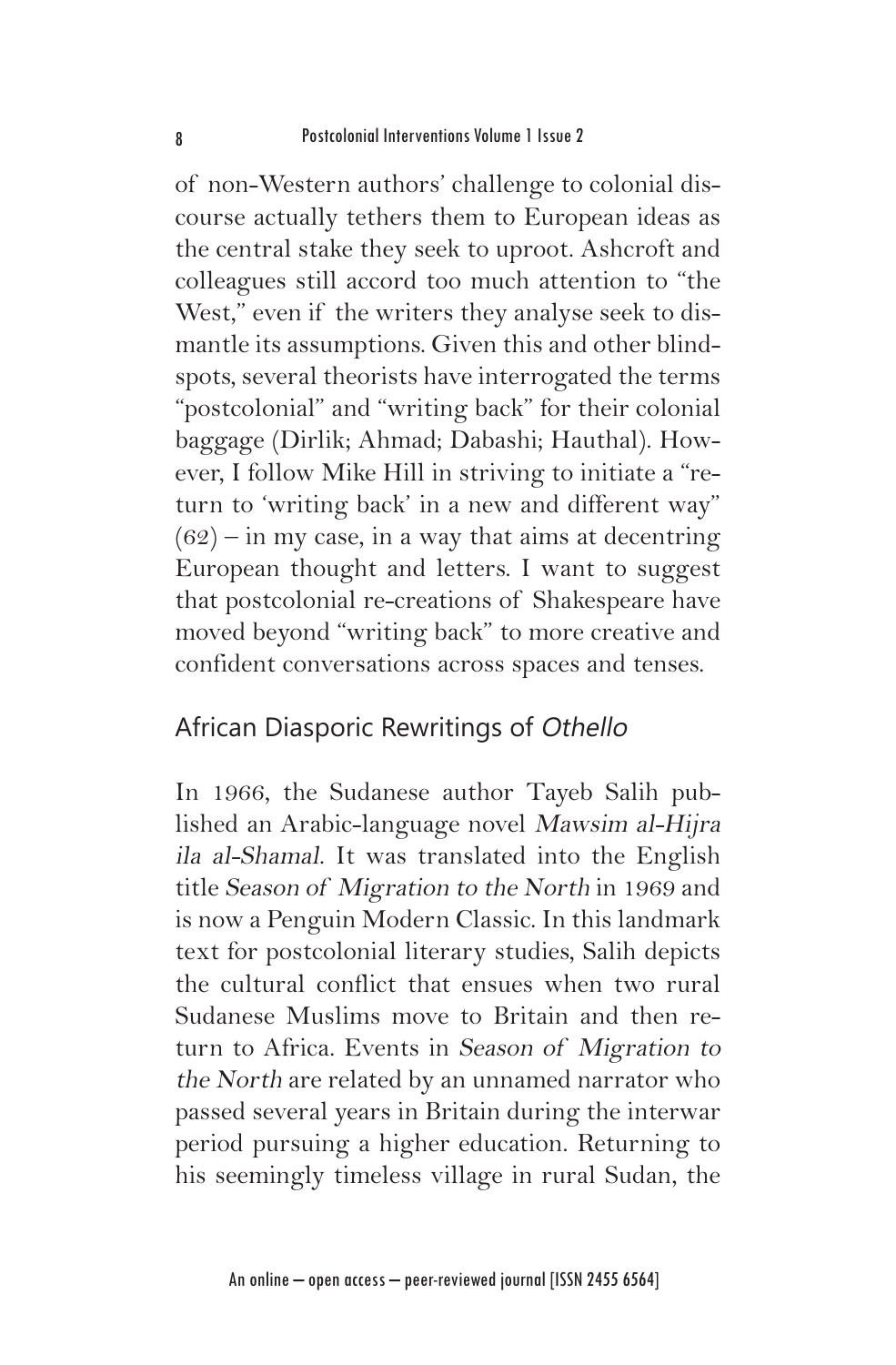of non-Western authors' challenge to colonial discourse actually tethers them to European ideas as the central stake they seek to uproot. Ashcroft and colleagues still accord too much attention to "the West," even if the writers they analyse seek to dismantle its assumptions. Given this and other blindspots, several theorists have interrogated the terms "postcolonial" and "writing back" for their colonial baggage (Dirlik; Ahmad; Dabashi; Hauthal). However, I follow Mike Hill in striving to initiate a "return to 'writing back' in a new and different way"  $(62)$  – in my case, in a way that aims at decentring European thought and letters. I want to suggest that postcolonial re-creations of Shakespeare have moved beyond "writing back" to more creative and confident conversations across spaces and tenses.

#### African Diasporic Rewritings of Othello

In 1966, the Sudanese author Tayeb Salih published an Arabic-language novel Mawsim al-Hijra ila al-Shamal. It was translated into the English title Season of Migration to the North in 1969 and is now a Penguin Modern Classic. In this landmark text for postcolonial literary studies, Salih depicts the cultural conflict that ensues when two rural Sudanese Muslims move to Britain and then return to Africa. Events in Season of Migration to the North are related by an unnamed narrator who passed several years in Britain during the interwar period pursuing a higher education. Returning to his seemingly timeless village in rural Sudan, the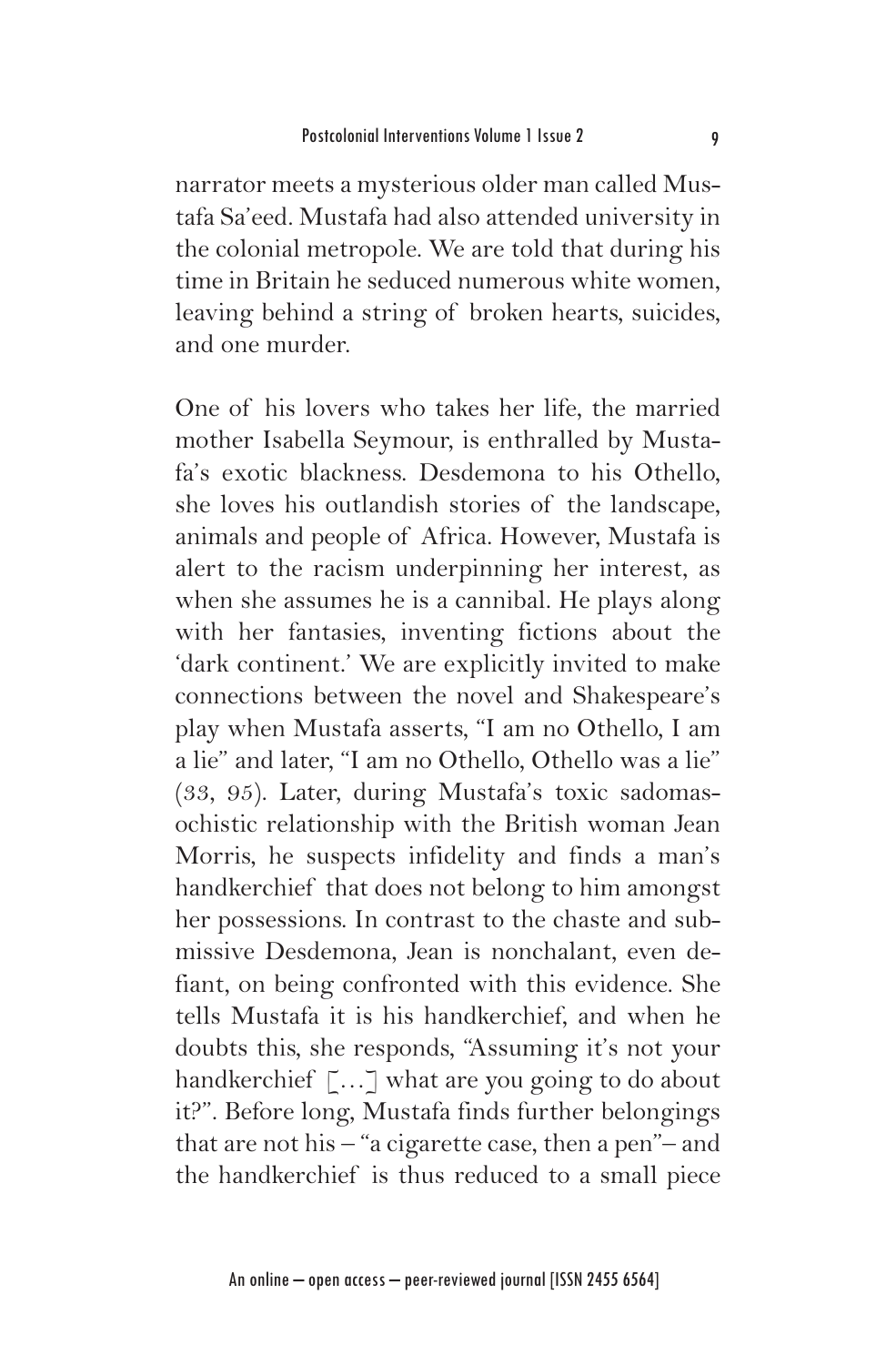narrator meets a mysterious older man called Mustafa Sa'eed. Mustafa had also attended university in the colonial metropole. We are told that during his time in Britain he seduced numerous white women, leaving behind a string of broken hearts, suicides, and one murder.

One of his lovers who takes her life, the married mother Isabella Seymour, is enthralled by Mustafa's exotic blackness. Desdemona to his Othello, she loves his outlandish stories of the landscape, animals and people of Africa. However, Mustafa is alert to the racism underpinning her interest, as when she assumes he is a cannibal. He plays along with her fantasies, inventing fictions about the 'dark continent.' We are explicitly invited to make connections between the novel and Shakespeare's play when Mustafa asserts, "I am no Othello, I am a lie" and later, "I am no Othello, Othello was a lie" (33, 95). Later, during Mustafa's toxic sadomasochistic relationship with the British woman Jean Morris, he suspects infidelity and finds a man's handkerchief that does not belong to him amongst her possessions. In contrast to the chaste and submissive Desdemona, Jean is nonchalant, even defiant, on being confronted with this evidence. She tells Mustafa it is his handkerchief, and when he doubts this, she responds, "Assuming it's not your handkerchief [...] what are you going to do about it?". Before long, Mustafa finds further belongings that are not his – "a cigarette case, then a pen"– and the handkerchief is thus reduced to a small piece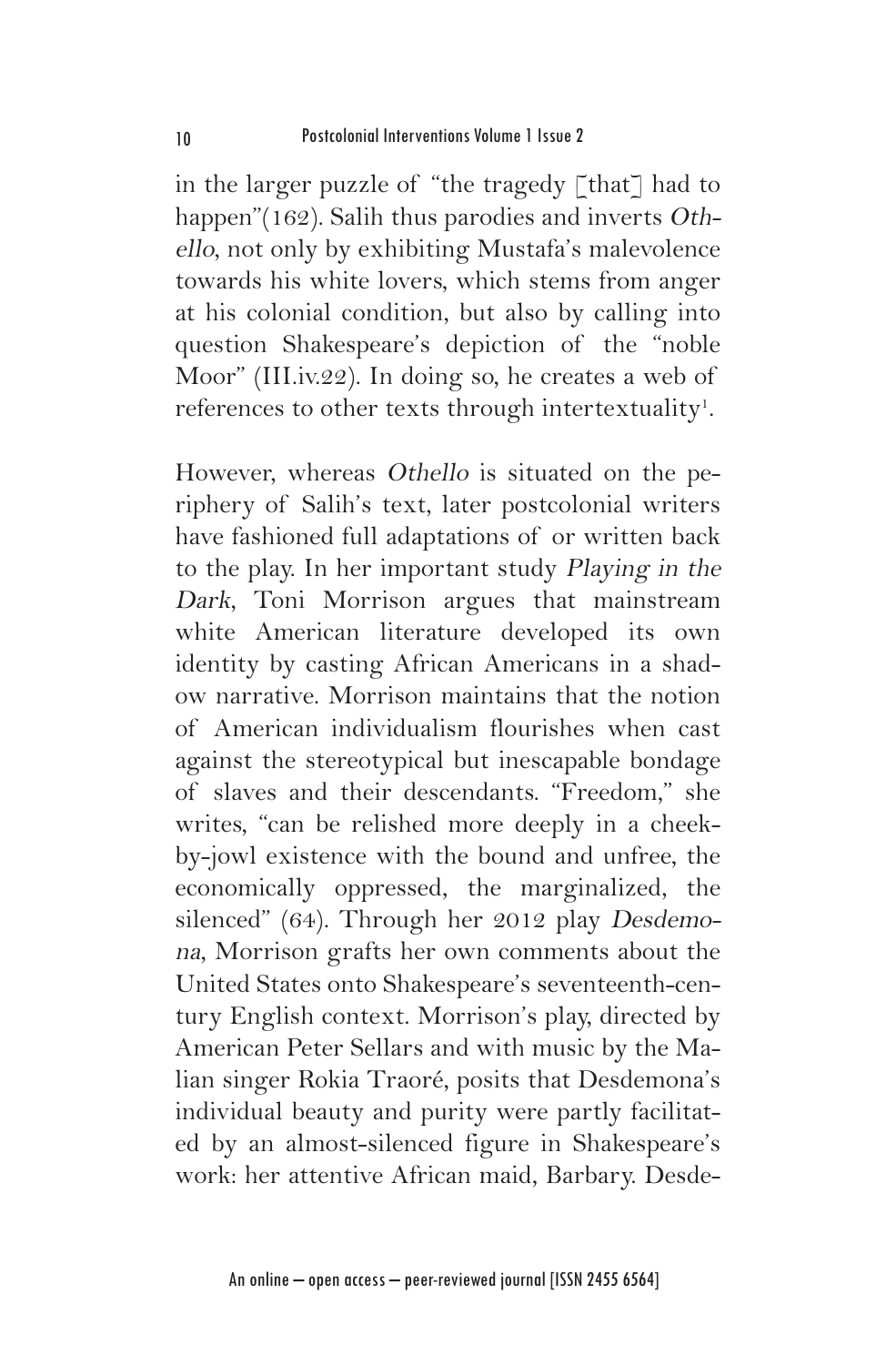in the larger puzzle of "the tragedy  $\lceil \text{that} \rceil$  had to happen"(162). Salih thus parodies and inverts Othello, not only by exhibiting Mustafa's malevolence towards his white lovers, which stems from anger at his colonial condition, but also by calling into question Shakespeare's depiction of the "noble Moor" (III.iv.22). In doing so, he creates a web of references to other texts through intertextuality<sup>1</sup>.

However, whereas Othello is situated on the periphery of Salih's text, later postcolonial writers have fashioned full adaptations of or written back to the play. In her important study Playing in the Dark, Toni Morrison argues that mainstream white American literature developed its own identity by casting African Americans in a shadow narrative. Morrison maintains that the notion of American individualism flourishes when cast against the stereotypical but inescapable bondage of slaves and their descendants. "Freedom," she writes, "can be relished more deeply in a cheekby-jowl existence with the bound and unfree, the economically oppressed, the marginalized, the silenced" (64). Through her 2012 play Desdemona, Morrison grafts her own comments about the United States onto Shakespeare's seventeenth-century English context. Morrison's play, directed by American Peter Sellars and with music by the Malian singer Rokia Traoré, posits that Desdemona's individual beauty and purity were partly facilitated by an almost-silenced figure in Shakespeare's work: her attentive African maid, Barbary. Desde-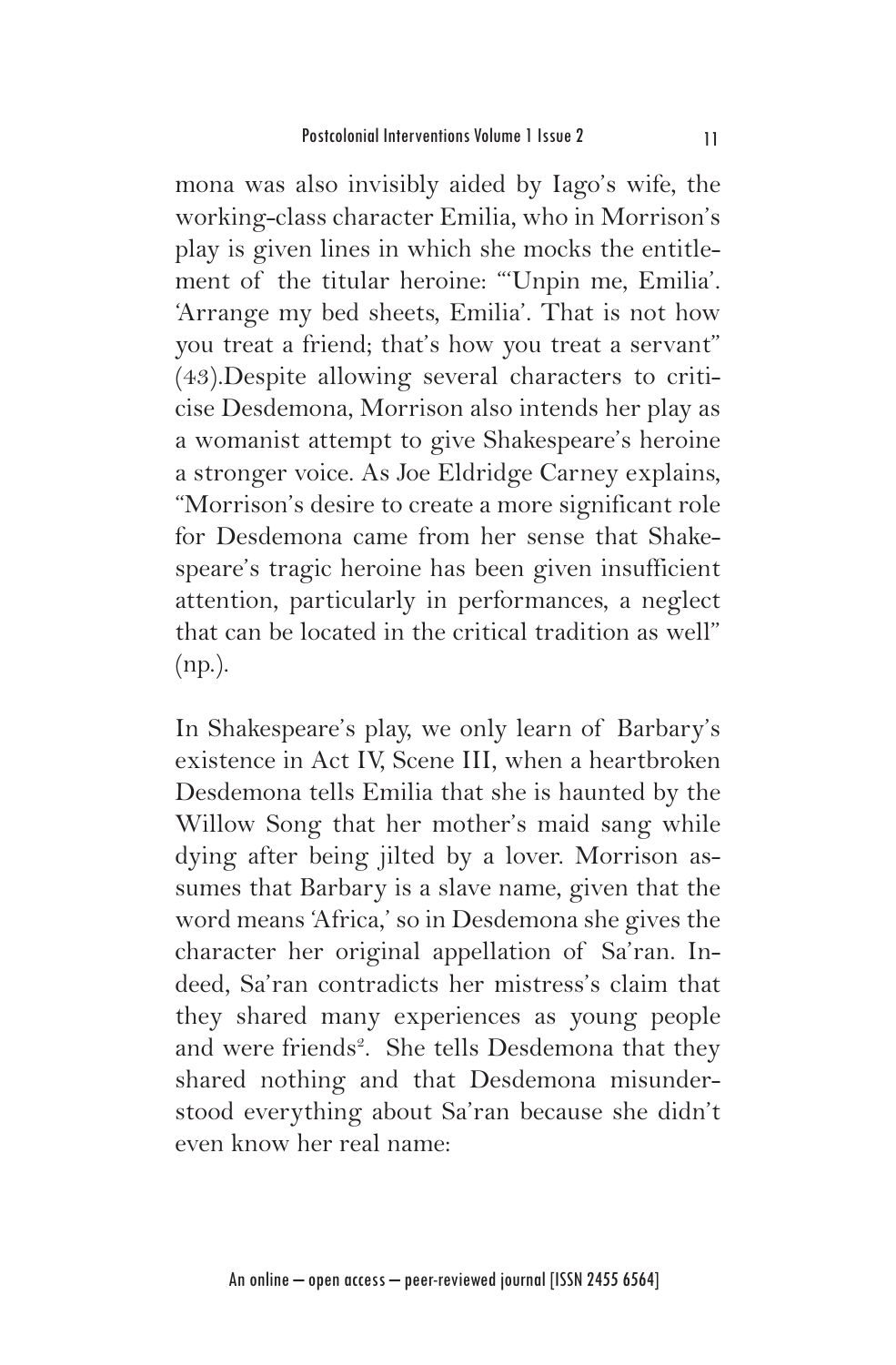mona was also invisibly aided by Iago's wife, the working-class character Emilia, who in Morrison's play is given lines in which she mocks the entitlement of the titular heroine: "'Unpin me, Emilia'. 'Arrange my bed sheets, Emilia'. That is not how you treat a friend; that's how you treat a servant" (43).Despite allowing several characters to criticise Desdemona, Morrison also intends her play as a womanist attempt to give Shakespeare's heroine a stronger voice. As Joe Eldridge Carney explains, "Morrison's desire to create a more significant role for Desdemona came from her sense that Shakespeare's tragic heroine has been given insufficient attention, particularly in performances, a neglect that can be located in the critical tradition as well" (np.).

In Shakespeare's play, we only learn of Barbary's existence in Act IV, Scene III, when a heartbroken Desdemona tells Emilia that she is haunted by the Willow Song that her mother's maid sang while dying after being jilted by a lover. Morrison assumes that Barbary is a slave name, given that the word means 'Africa,' so in Desdemona she gives the character her original appellation of Sa'ran. Indeed, Sa'ran contradicts her mistress's claim that they shared many experiences as young people and were friends<sup>2</sup>. She tells Desdemona that they shared nothing and that Desdemona misunderstood everything about Sa'ran because she didn't even know her real name: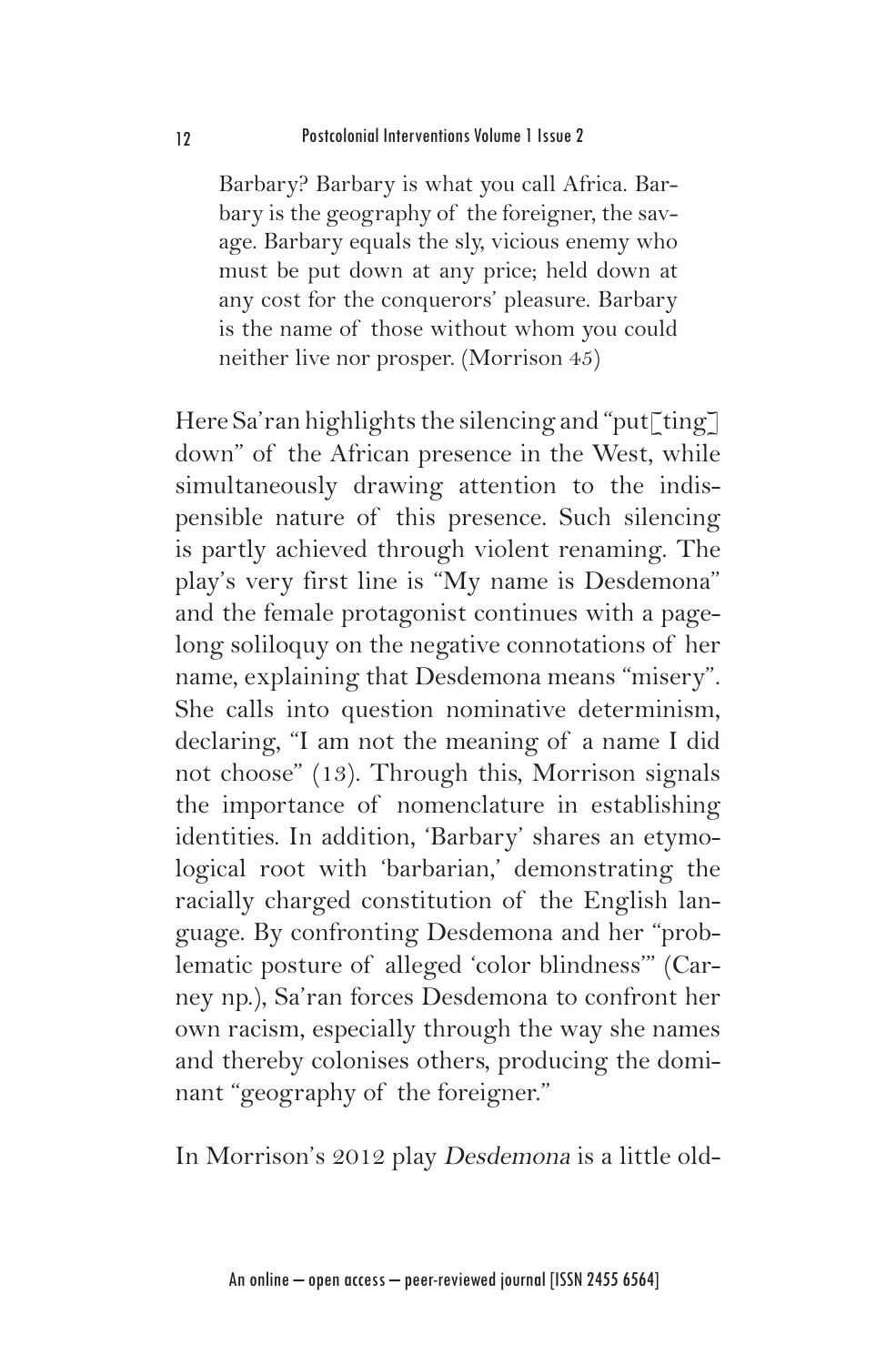Barbary? Barbary is what you call Africa. Barbary is the geography of the foreigner, the savage. Barbary equals the sly, vicious enemy who must be put down at any price; held down at any cost for the conquerors' pleasure. Barbary is the name of those without whom you could neither live nor prosper. (Morrison 45)

Here Sa'ran highlights the silencing and "put[ting] down" of the African presence in the West, while simultaneously drawing attention to the indispensible nature of this presence. Such silencing is partly achieved through violent renaming. The play's very first line is "My name is Desdemona" and the female protagonist continues with a pagelong soliloquy on the negative connotations of her name, explaining that Desdemona means "misery". She calls into question nominative determinism, declaring, "I am not the meaning of a name I did not choose" (13). Through this, Morrison signals the importance of nomenclature in establishing identities. In addition, 'Barbary' shares an etymological root with 'barbarian,' demonstrating the racially charged constitution of the English language. By confronting Desdemona and her "problematic posture of alleged 'color blindness'" (Carney np.), Sa'ran forces Desdemona to confront her own racism, especially through the way she names and thereby colonises others, producing the dominant "geography of the foreigner."

In Morrison's 2012 play Desdemona is a little old-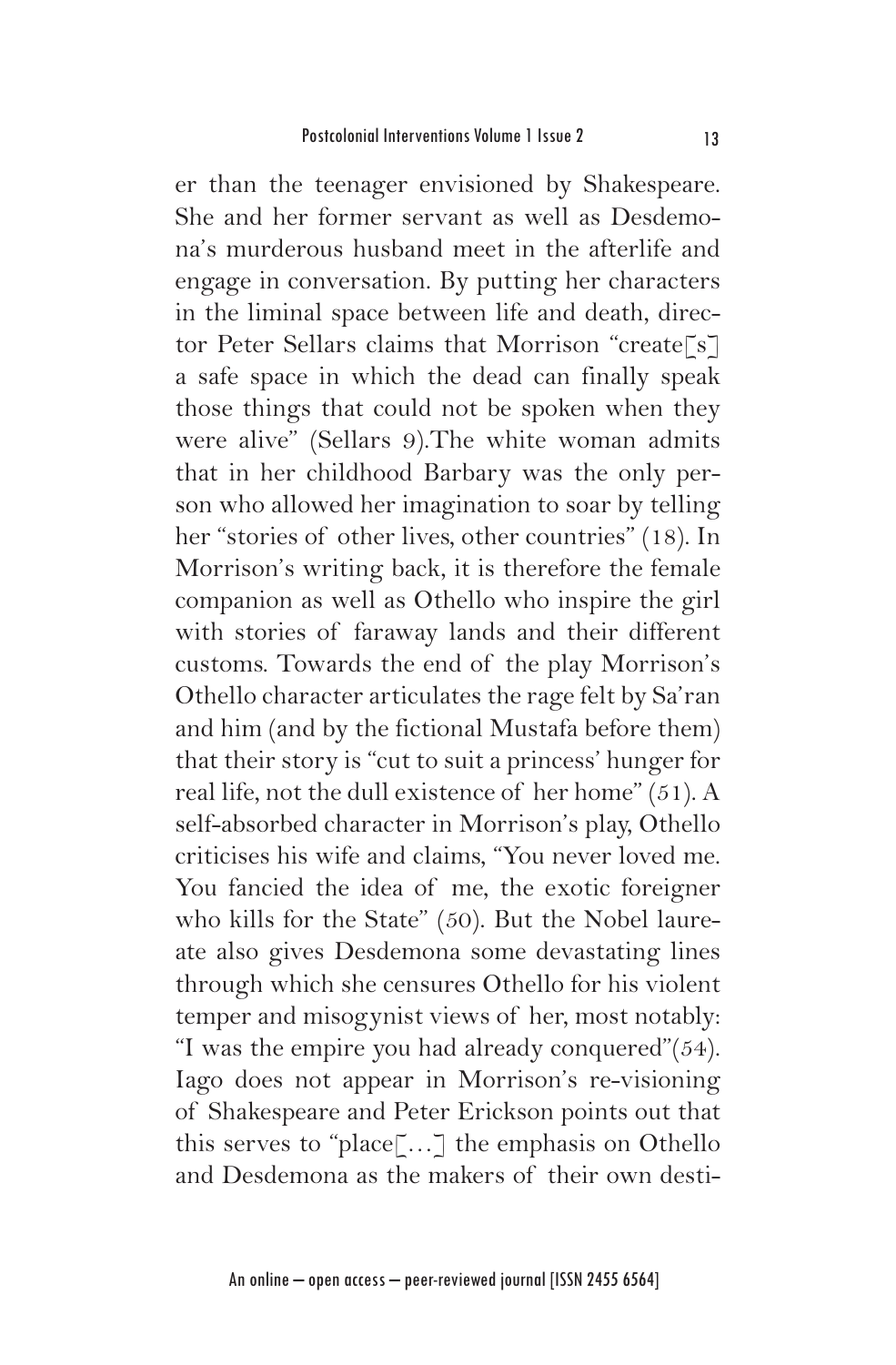er than the teenager envisioned by Shakespeare. She and her former servant as well as Desdemona's murderous husband meet in the afterlife and engage in conversation. By putting her characters in the liminal space between life and death, director Peter Sellars claims that Morrison "create[s] a safe space in which the dead can finally speak those things that could not be spoken when they were alive" (Sellars 9).The white woman admits that in her childhood Barbary was the only person who allowed her imagination to soar by telling her "stories of other lives, other countries" (18). In Morrison's writing back, it is therefore the female companion as well as Othello who inspire the girl with stories of faraway lands and their different customs. Towards the end of the play Morrison's Othello character articulates the rage felt by Sa'ran and him (and by the fictional Mustafa before them) that their story is "cut to suit a princess' hunger for real life, not the dull existence of her home" (51). A self-absorbed character in Morrison's play, Othello criticises his wife and claims, "You never loved me. You fancied the idea of me, the exotic foreigner who kills for the State" (50). But the Nobel laureate also gives Desdemona some devastating lines through which she censures Othello for his violent temper and misogynist views of her, most notably: "I was the empire you had already conquered"(54). Iago does not appear in Morrison's re-visioning of Shakespeare and Peter Erickson points out that this serves to "place[…] the emphasis on Othello and Desdemona as the makers of their own desti-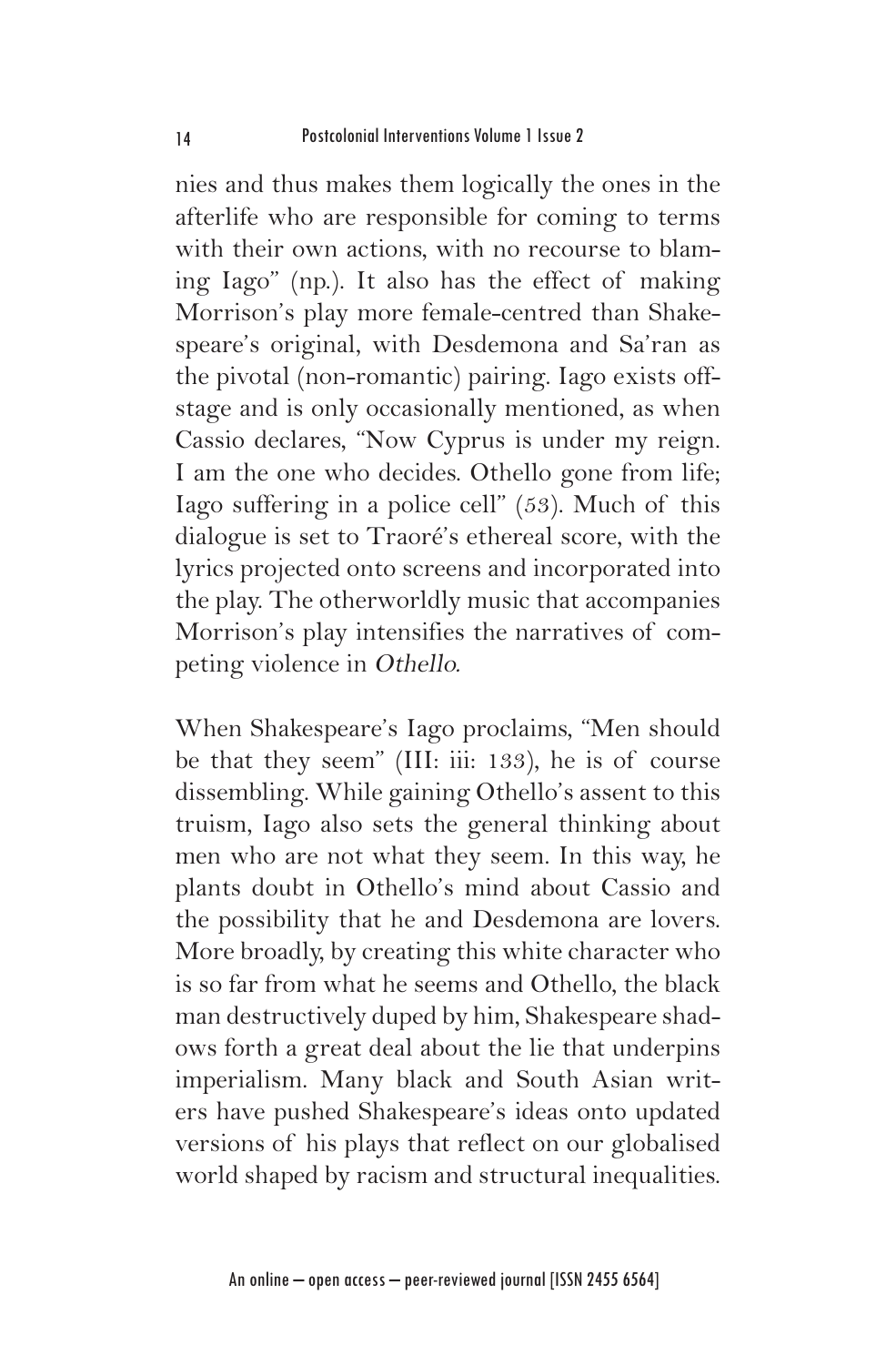nies and thus makes them logically the ones in the afterlife who are responsible for coming to terms with their own actions, with no recourse to blaming Iago" (np.). It also has the effect of making Morrison's play more female-centred than Shakespeare's original, with Desdemona and Sa'ran as the pivotal (non-romantic) pairing. Iago exists offstage and is only occasionally mentioned, as when Cassio declares, "Now Cyprus is under my reign. I am the one who decides. Othello gone from life; Iago suffering in a police cell" (53). Much of this dialogue is set to Traoré's ethereal score, with the lyrics projected onto screens and incorporated into the play. The otherworldly music that accompanies Morrison's play intensifies the narratives of competing violence in Othello.

When Shakespeare's Iago proclaims, "Men should be that they seem" (III: iii: 133), he is of course dissembling. While gaining Othello's assent to this truism, Iago also sets the general thinking about men who are not what they seem. In this way, he plants doubt in Othello's mind about Cassio and the possibility that he and Desdemona are lovers. More broadly, by creating this white character who is so far from what he seems and Othello, the black man destructively duped by him, Shakespeare shadows forth a great deal about the lie that underpins imperialism. Many black and South Asian writers have pushed Shakespeare's ideas onto updated versions of his plays that reflect on our globalised world shaped by racism and structural inequalities.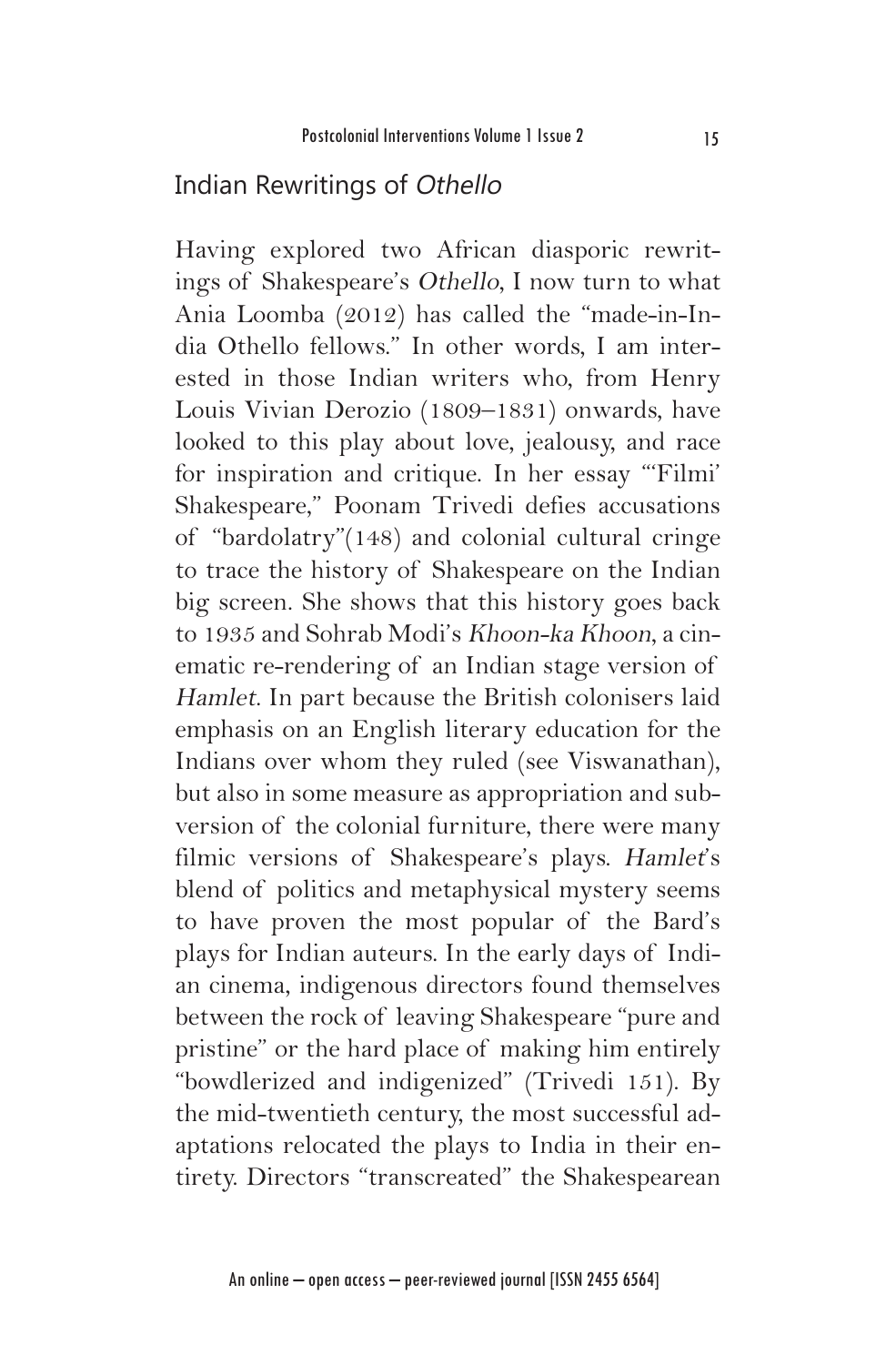#### Indian Rewritings of Othello

Having explored two African diasporic rewritings of Shakespeare's Othello, I now turn to what Ania Loomba (2012) has called the "made-in-India Othello fellows." In other words, I am interested in those Indian writers who, from Henry Louis Vivian Derozio (1809–1831) onwards, have looked to this play about love, jealousy, and race for inspiration and critique. In her essay "'Filmi' Shakespeare," Poonam Trivedi defies accusations of "bardolatry"(148) and colonial cultural cringe to trace the history of Shakespeare on the Indian big screen. She shows that this history goes back to 1935 and Sohrab Modi's Khoon-ka Khoon, a cinematic re-rendering of an Indian stage version of Hamlet. In part because the British colonisers laid emphasis on an English literary education for the Indians over whom they ruled (see Viswanathan), but also in some measure as appropriation and subversion of the colonial furniture, there were many filmic versions of Shakespeare's plays. Hamlet's blend of politics and metaphysical mystery seems to have proven the most popular of the Bard's plays for Indian auteurs. In the early days of Indian cinema, indigenous directors found themselves between the rock of leaving Shakespeare "pure and pristine" or the hard place of making him entirely "bowdlerized and indigenized" (Trivedi 151). By the mid-twentieth century, the most successful adaptations relocated the plays to India in their entirety. Directors "transcreated" the Shakespearean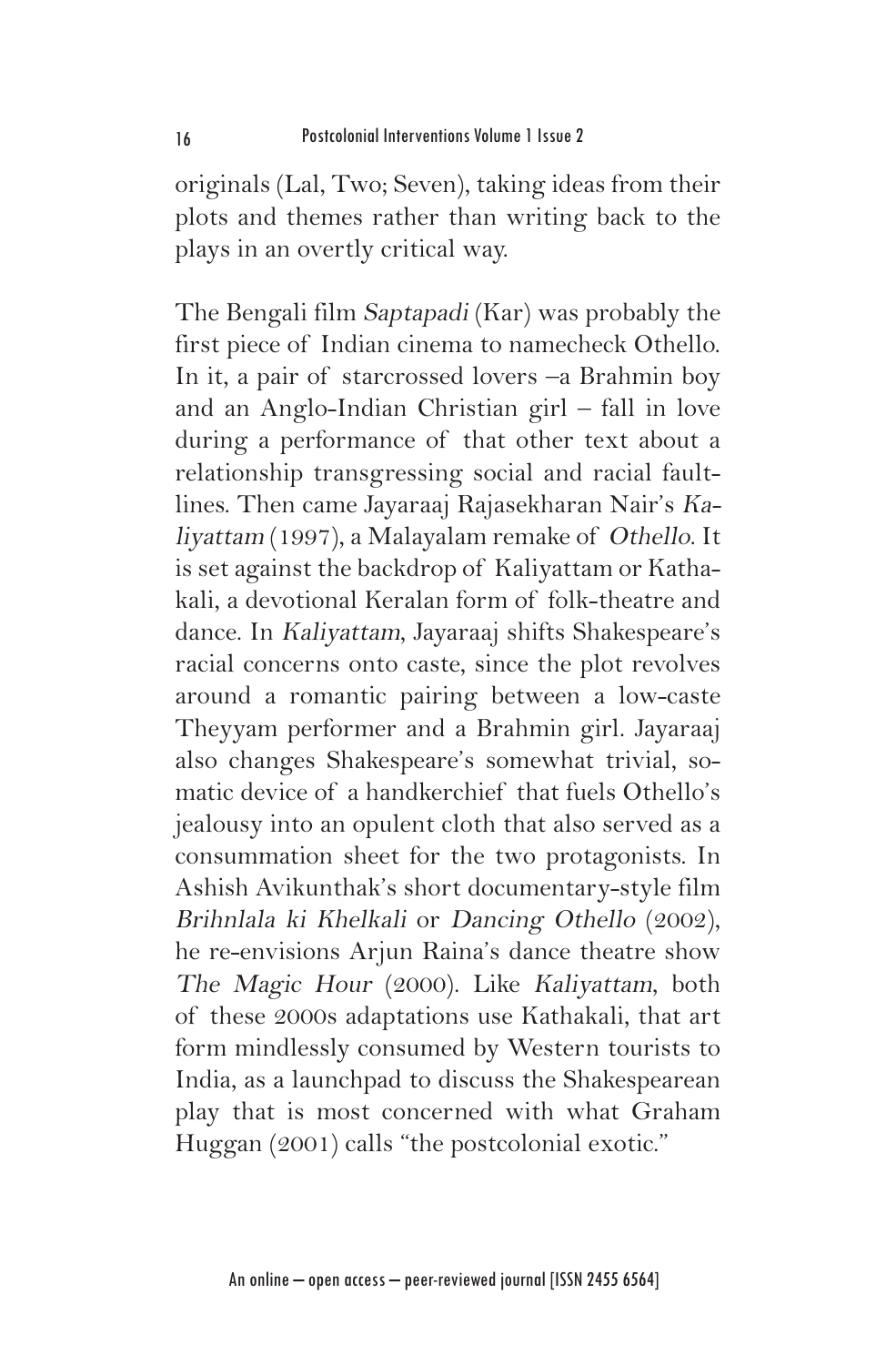originals (Lal, Two; Seven), taking ideas from their plots and themes rather than writing back to the plays in an overtly critical way.

The Bengali film Saptapadi (Kar) was probably the first piece of Indian cinema to namecheck Othello. In it, a pair of starcrossed lovers –a Brahmin boy and an Anglo-Indian Christian girl – fall in love during a performance of that other text about a relationship transgressing social and racial faultlines. Then came Jayaraaj Rajasekharan Nair's Kaliyattam (1997), a Malayalam remake of Othello. It is set against the backdrop of Kaliyattam or Kathakali, a devotional Keralan form of folk-theatre and dance. In Kaliyattam, Jayaraaj shifts Shakespeare's racial concerns onto caste, since the plot revolves around a romantic pairing between a low-caste Theyyam performer and a Brahmin girl. Jayaraaj also changes Shakespeare's somewhat trivial, somatic device of a handkerchief that fuels Othello's jealousy into an opulent cloth that also served as a consummation sheet for the two protagonists. In Ashish Avikunthak's short documentary-style film Brihnlala ki Khelkali or Dancing Othello (2002), he re-envisions Arjun Raina's dance theatre show The Magic Hour (2000). Like Kaliyattam, both of these 2000s adaptations use Kathakali, that art form mindlessly consumed by Western tourists to India, as a launchpad to discuss the Shakespearean play that is most concerned with what Graham Huggan (2001) calls "the postcolonial exotic."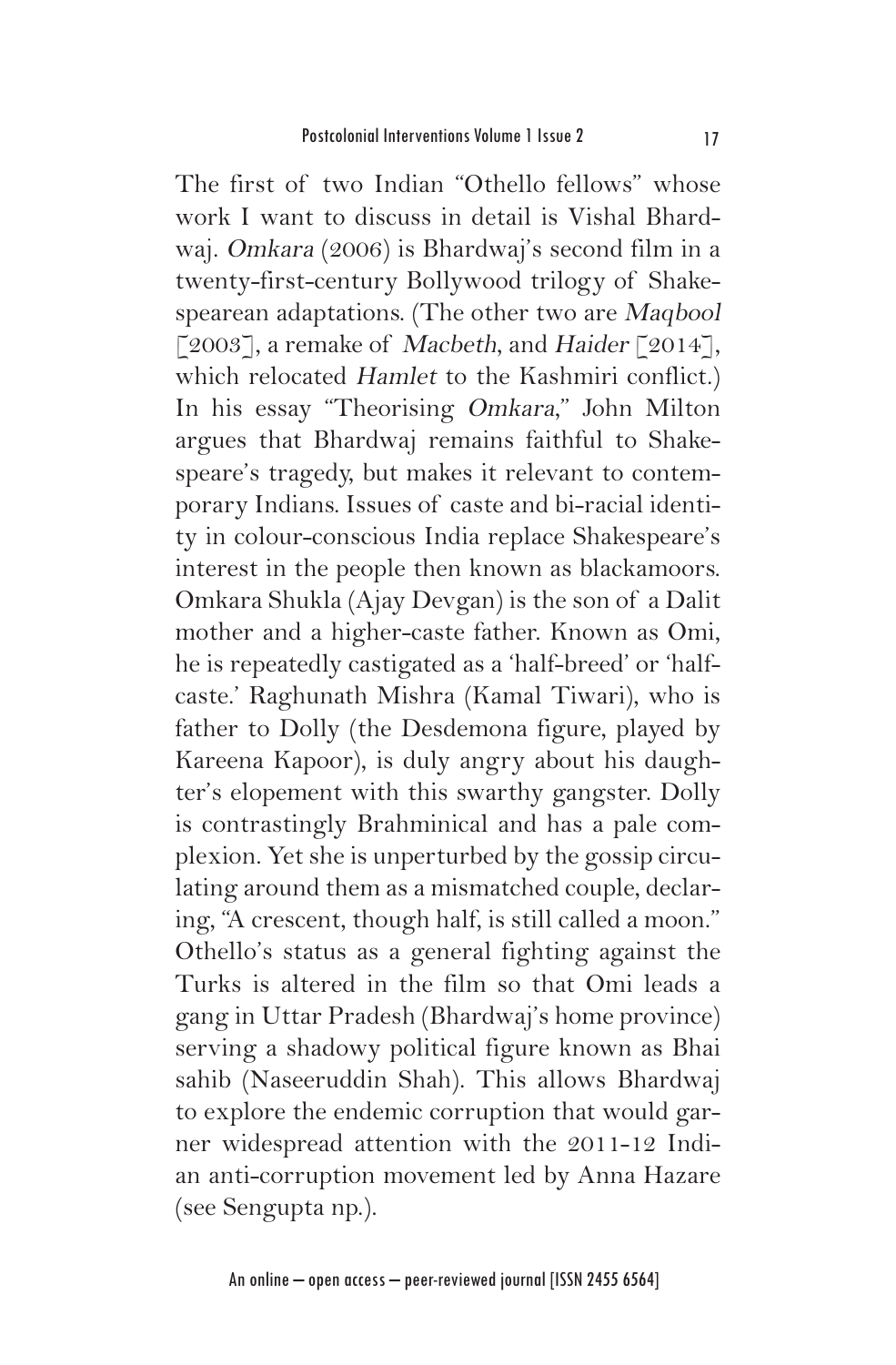The first of two Indian "Othello fellows" whose work I want to discuss in detail is Vishal Bhardwaj. Omkara (2006) is Bhardwaj's second film in a twenty-first-century Bollywood trilogy of Shakespearean adaptations. (The other two are Maqbool [2003], a remake of Macbeth, and Haider [2014], which relocated Hamlet to the Kashmiri conflict.) In his essay "Theorising Omkara," John Milton argues that Bhardwaj remains faithful to Shakespeare's tragedy, but makes it relevant to contemporary Indians. Issues of caste and bi-racial identity in colour-conscious India replace Shakespeare's interest in the people then known as blackamoors. Omkara Shukla (Ajay Devgan) is the son of a Dalit mother and a higher-caste father. Known as Omi, he is repeatedly castigated as a 'half-breed' or 'halfcaste.' Raghunath Mishra (Kamal Tiwari), who is father to Dolly (the Desdemona figure, played by Kareena Kapoor), is duly angry about his daughter's elopement with this swarthy gangster. Dolly is contrastingly Brahminical and has a pale complexion. Yet she is unperturbed by the gossip circulating around them as a mismatched couple, declaring, "A crescent, though half, is still called a moon." Othello's status as a general fighting against the Turks is altered in the film so that Omi leads a gang in Uttar Pradesh (Bhardwaj's home province) serving a shadowy political figure known as Bhai sahib (Naseeruddin Shah). This allows Bhardwaj to explore the endemic corruption that would garner widespread attention with the 2011-12 Indian anti-corruption movement led by Anna Hazare (see Sengupta np.).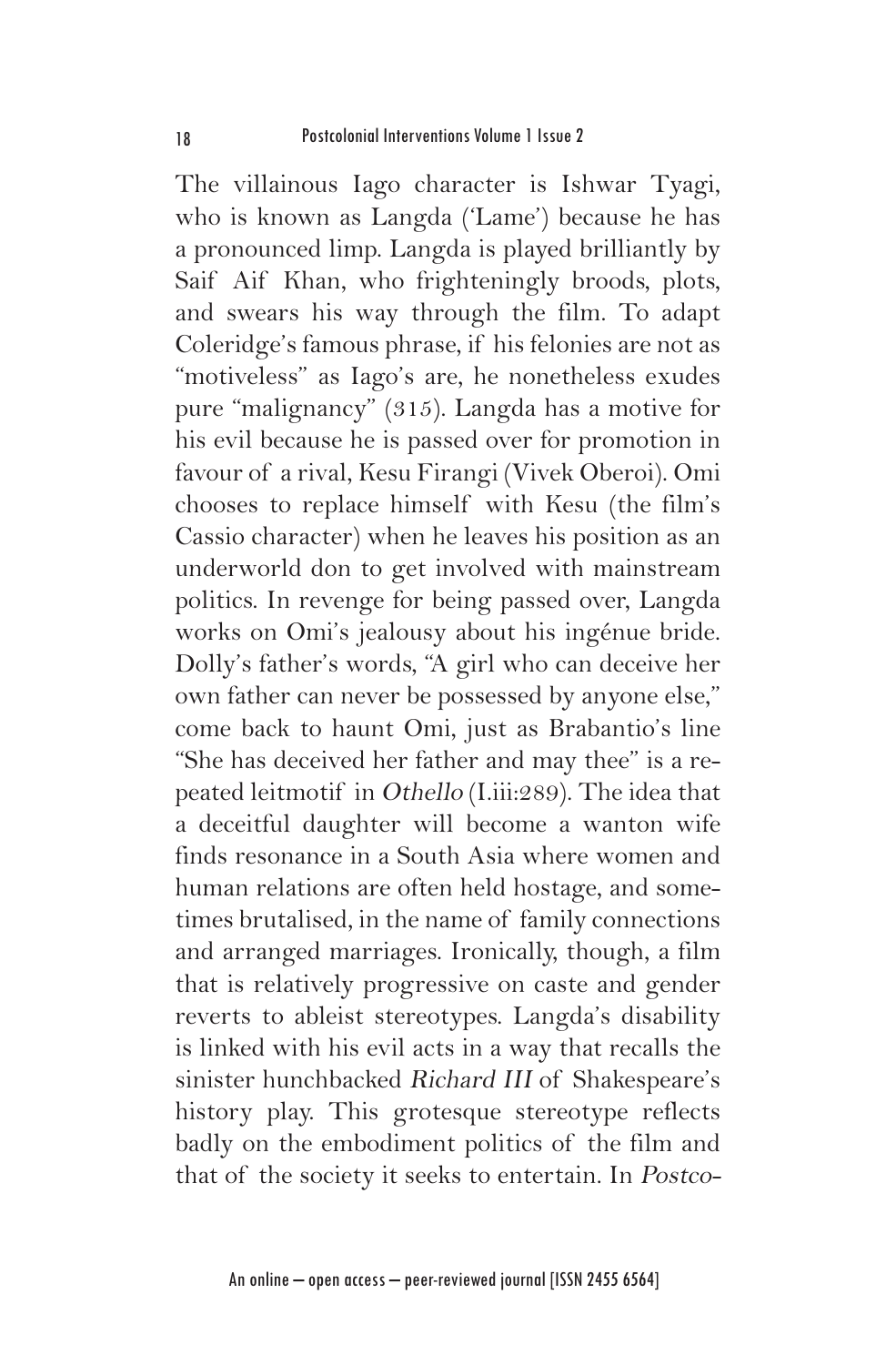The villainous Iago character is Ishwar Tyagi, who is known as Langda ('Lame') because he has a pronounced limp. Langda is played brilliantly by Saif Aif Khan, who frighteningly broods, plots, and swears his way through the film. To adapt Coleridge's famous phrase, if his felonies are not as "motiveless" as Iago's are, he nonetheless exudes pure "malignancy" (315). Langda has a motive for his evil because he is passed over for promotion in favour of a rival, Kesu Firangi (Vivek Oberoi). Omi chooses to replace himself with Kesu (the film's Cassio character) when he leaves his position as an underworld don to get involved with mainstream politics. In revenge for being passed over, Langda works on Omi's jealousy about his ingénue bride. Dolly's father's words, "A girl who can deceive her own father can never be possessed by anyone else," come back to haunt Omi, just as Brabantio's line "She has deceived her father and may thee" is a repeated leitmotif in Othello (I.iii:289). The idea that a deceitful daughter will become a wanton wife finds resonance in a South Asia where women and human relations are often held hostage, and sometimes brutalised, in the name of family connections and arranged marriages. Ironically, though, a film that is relatively progressive on caste and gender reverts to ableist stereotypes. Langda's disability is linked with his evil acts in a way that recalls the sinister hunchbacked Richard III of Shakespeare's history play. This grotesque stereotype reflects badly on the embodiment politics of the film and that of the society it seeks to entertain. In Postco-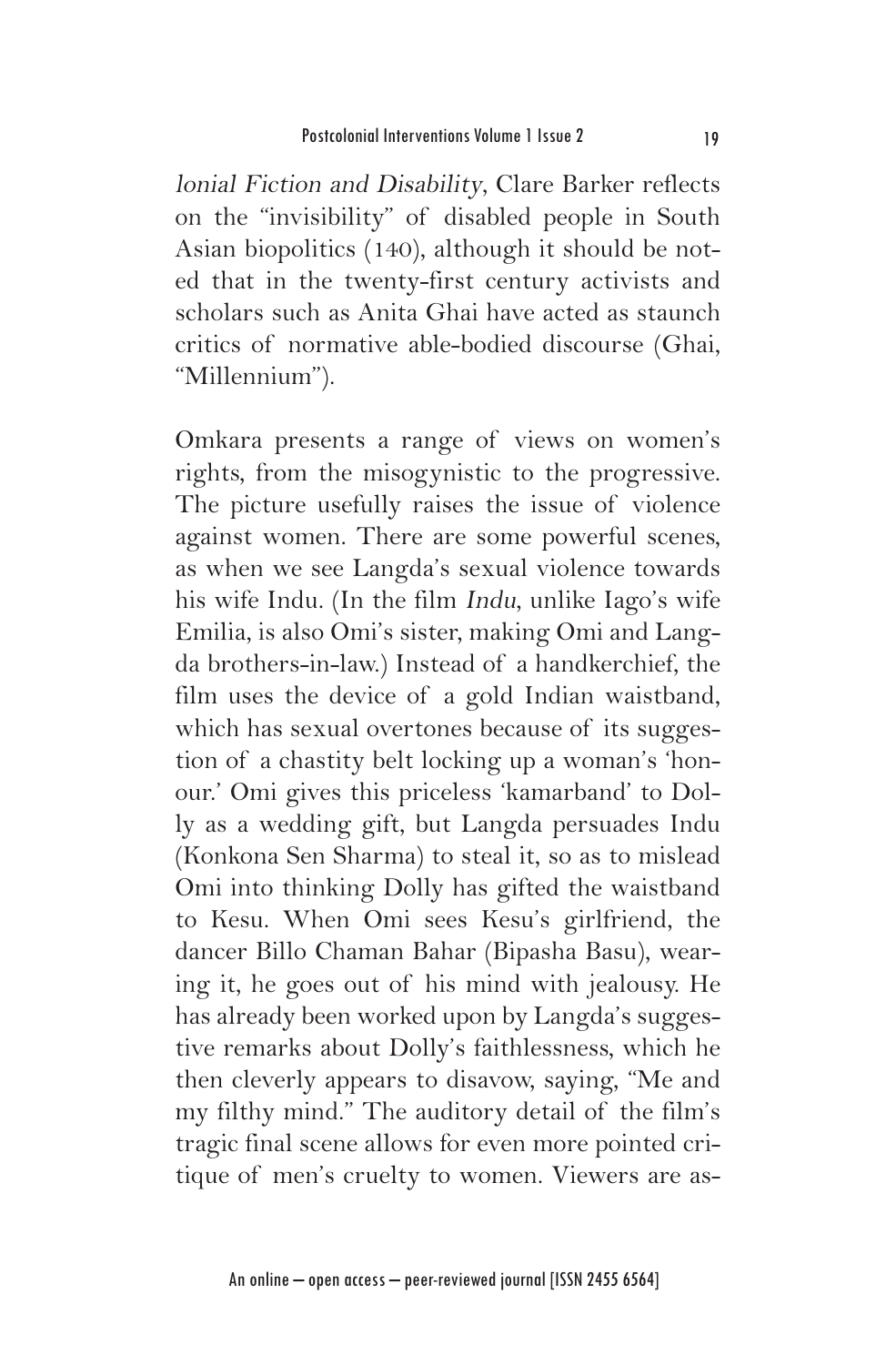lonial Fiction and Disability, Clare Barker reflects on the "invisibility" of disabled people in South Asian biopolitics (140), although it should be noted that in the twenty-first century activists and scholars such as Anita Ghai have acted as staunch critics of normative able-bodied discourse (Ghai, "Millennium").

Omkara presents a range of views on women's rights, from the misogynistic to the progressive. The picture usefully raises the issue of violence against women. There are some powerful scenes, as when we see Langda's sexual violence towards his wife Indu. (In the film Indu, unlike Iago's wife Emilia, is also Omi's sister, making Omi and Langda brothers-in-law.) Instead of a handkerchief, the film uses the device of a gold Indian waistband, which has sexual overtones because of its suggestion of a chastity belt locking up a woman's 'honour.' Omi gives this priceless 'kamarband' to Dolly as a wedding gift, but Langda persuades Indu (Konkona Sen Sharma) to steal it, so as to mislead Omi into thinking Dolly has gifted the waistband to Kesu. When Omi sees Kesu's girlfriend, the dancer Billo Chaman Bahar (Bipasha Basu), wearing it, he goes out of his mind with jealousy. He has already been worked upon by Langda's suggestive remarks about Dolly's faithlessness, which he then cleverly appears to disavow, saying, "Me and my filthy mind." The auditory detail of the film's tragic final scene allows for even more pointed critique of men's cruelty to women. Viewers are as-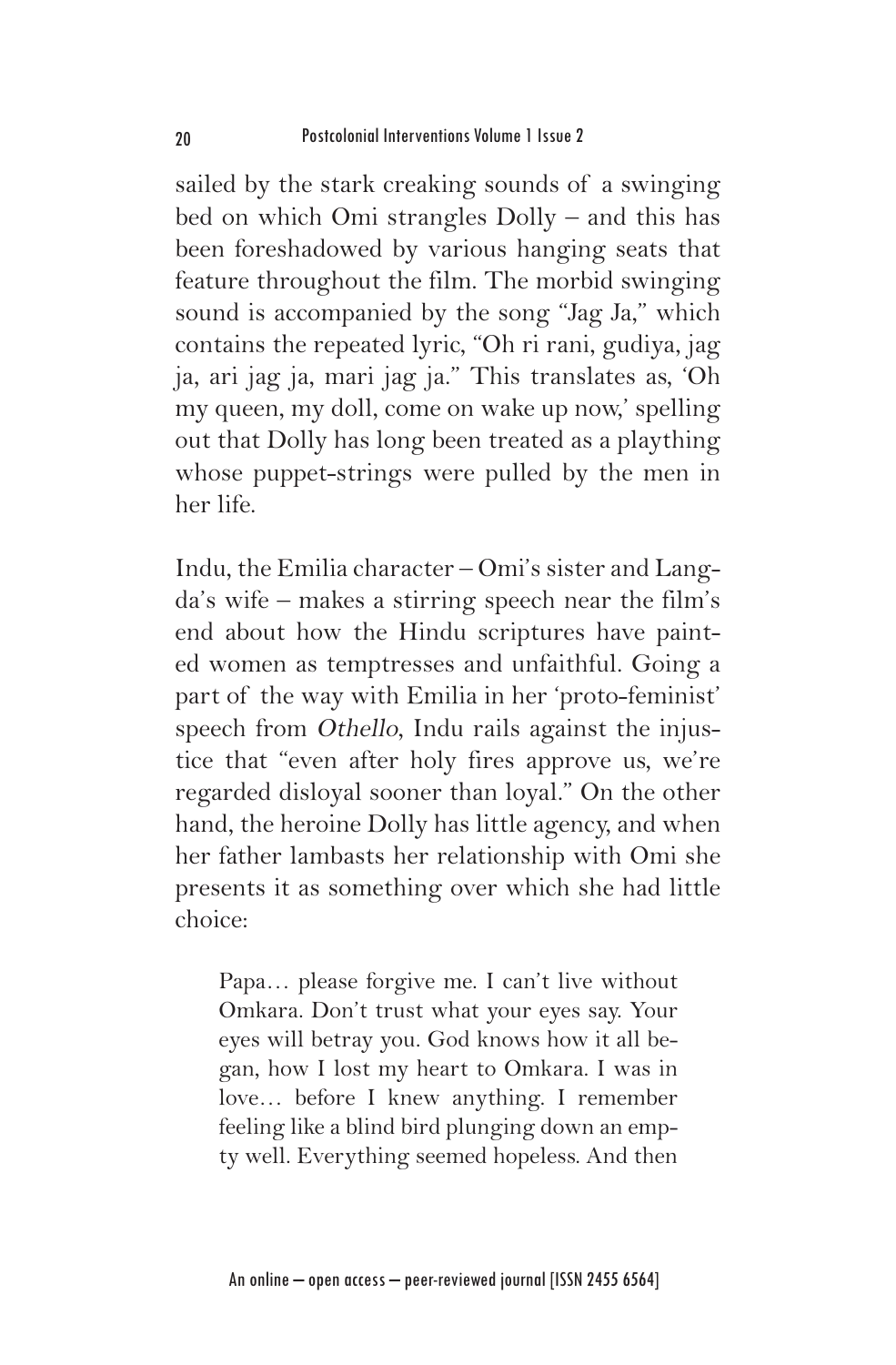sailed by the stark creaking sounds of a swinging bed on which Omi strangles Dolly – and this has been foreshadowed by various hanging seats that feature throughout the film. The morbid swinging sound is accompanied by the song "Jag Ja," which contains the repeated lyric, "Oh ri rani, gudiya, jag ja, ari jag ja, mari jag ja." This translates as, 'Oh my queen, my doll, come on wake up now,' spelling out that Dolly has long been treated as a plaything whose puppet-strings were pulled by the men in her life.

Indu, the Emilia character – Omi's sister and Langda's wife – makes a stirring speech near the film's end about how the Hindu scriptures have painted women as temptresses and unfaithful. Going a part of the way with Emilia in her 'proto-feminist' speech from Othello, Indu rails against the injustice that "even after holy fires approve us, we're regarded disloyal sooner than loyal." On the other hand, the heroine Dolly has little agency, and when her father lambasts her relationship with Omi she presents it as something over which she had little choice:

Papa… please forgive me. I can't live without Omkara. Don't trust what your eyes say. Your eyes will betray you. God knows how it all began, how I lost my heart to Omkara. I was in love… before I knew anything. I remember feeling like a blind bird plunging down an empty well. Everything seemed hopeless. And then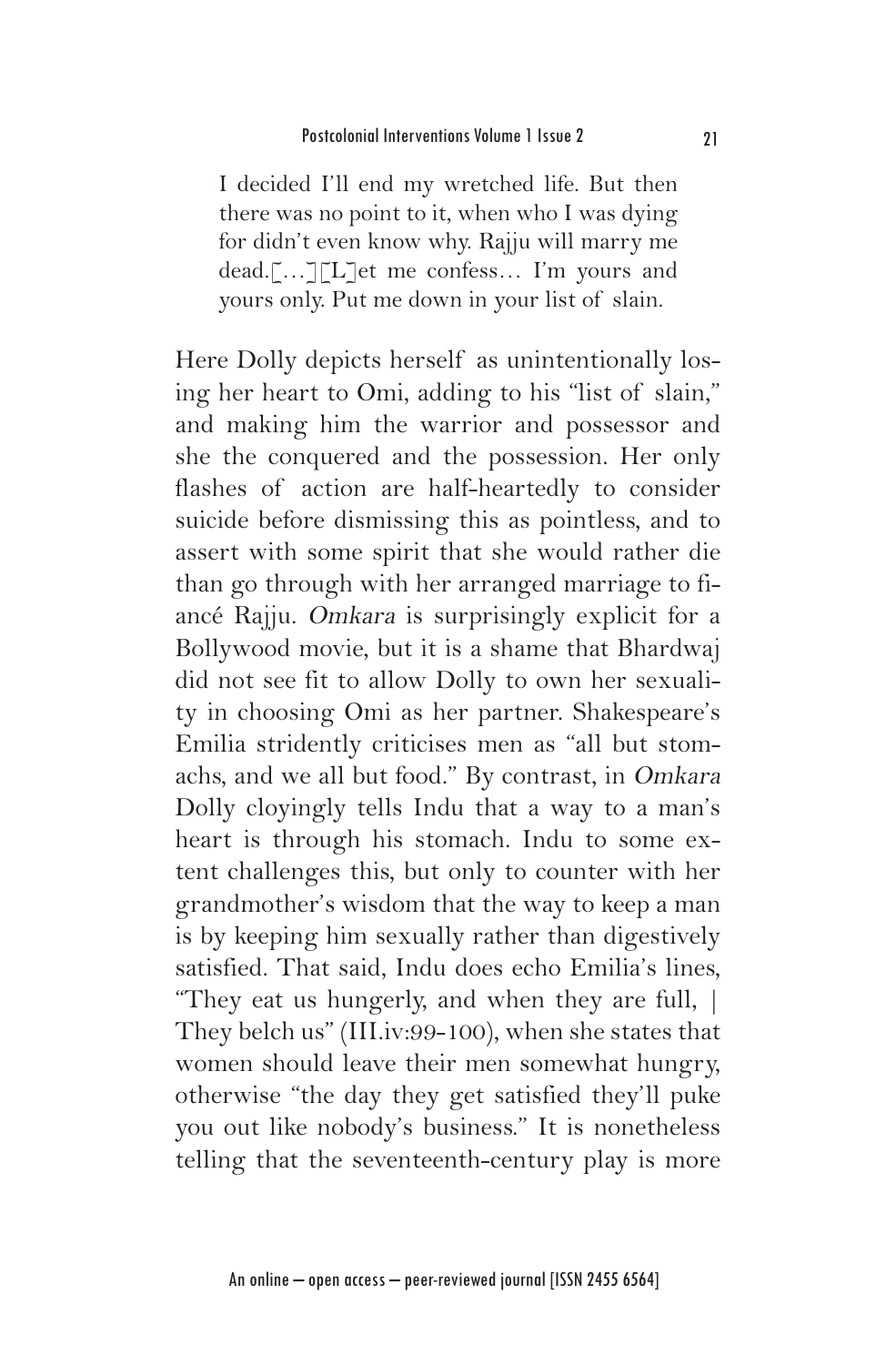I decided I'll end my wretched life. But then there was no point to it, when who I was dying for didn't even know why. Rajju will marry me dead.[…][L]et me confess… I'm yours and yours only. Put me down in your list of slain.

Here Dolly depicts herself as unintentionally losing her heart to Omi, adding to his "list of slain," and making him the warrior and possessor and she the conquered and the possession. Her only flashes of action are half-heartedly to consider suicide before dismissing this as pointless, and to assert with some spirit that she would rather die than go through with her arranged marriage to fiancé Rajju. Omkara is surprisingly explicit for a Bollywood movie, but it is a shame that Bhardwaj did not see fit to allow Dolly to own her sexuality in choosing Omi as her partner. Shakespeare's Emilia stridently criticises men as "all but stomachs, and we all but food." By contrast, in Omkara Dolly cloyingly tells Indu that a way to a man's heart is through his stomach. Indu to some extent challenges this, but only to counter with her grandmother's wisdom that the way to keep a man is by keeping him sexually rather than digestively satisfied. That said, Indu does echo Emilia's lines, "They eat us hungerly, and when they are full, | They belch us" (III.iv:99-100), when she states that women should leave their men somewhat hungry, otherwise "the day they get satisfied they'll puke you out like nobody's business." It is nonetheless telling that the seventeenth-century play is more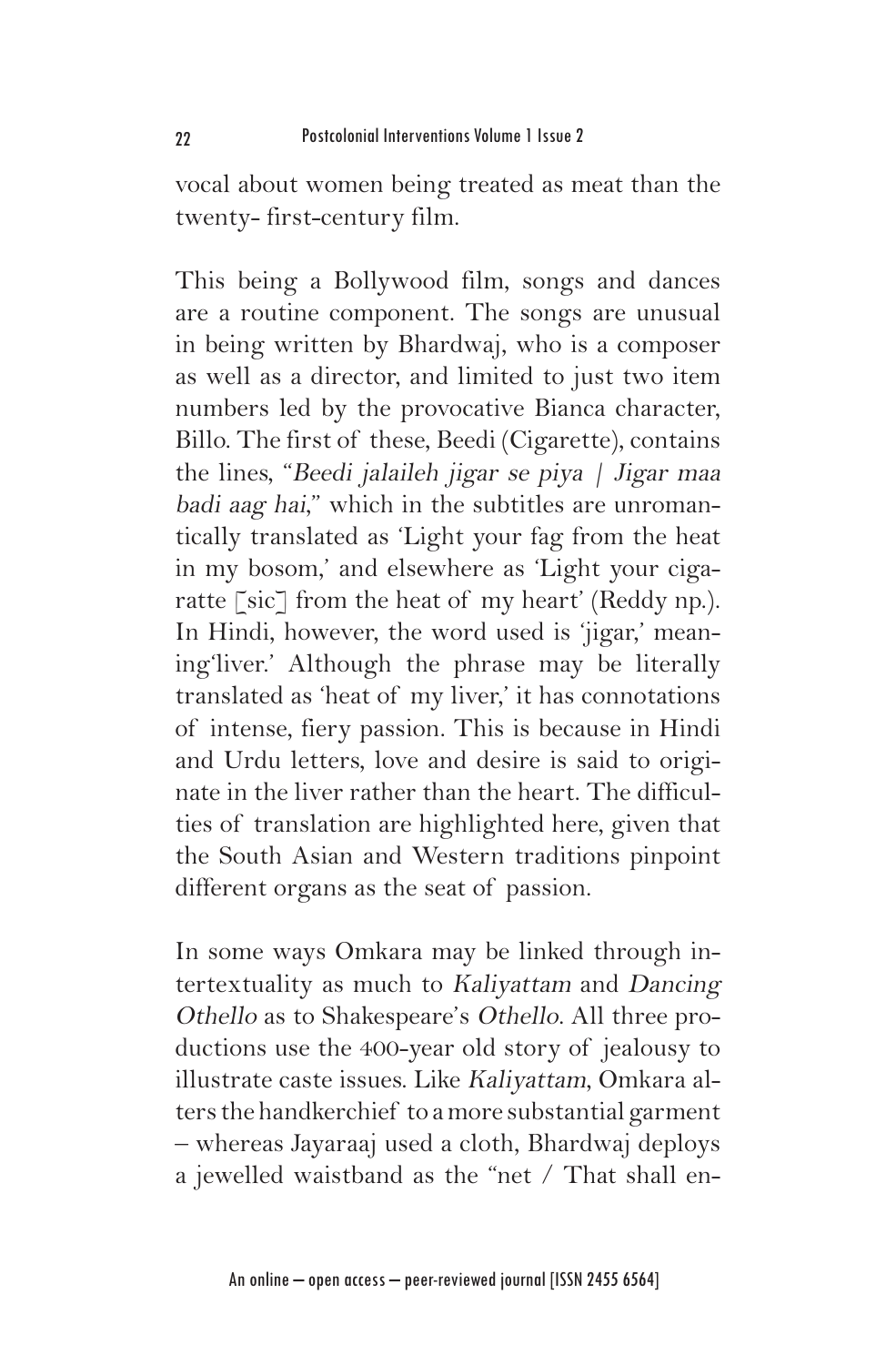vocal about women being treated as meat than the twenty- first-century film.

This being a Bollywood film, songs and dances are a routine component. The songs are unusual in being written by Bhardwaj, who is a composer as well as a director, and limited to just two item numbers led by the provocative Bianca character, Billo. The first of these, Beedi (Cigarette), contains the lines, "Beedi jalaileh jigar se piya | Jigar maa badi aag hai," which in the subtitles are unromantically translated as 'Light your fag from the heat in my bosom,' and elsewhere as 'Light your cigaratte [sic] from the heat of my heart' (Reddy np.). In Hindi, however, the word used is 'jigar,' meaning'liver.' Although the phrase may be literally translated as 'heat of my liver,' it has connotations of intense, fiery passion. This is because in Hindi and Urdu letters, love and desire is said to originate in the liver rather than the heart. The difficulties of translation are highlighted here, given that the South Asian and Western traditions pinpoint different organs as the seat of passion.

In some ways Omkara may be linked through intertextuality as much to Kaliyattam and Dancing Othello as to Shakespeare's Othello. All three productions use the 400-year old story of jealousy to illustrate caste issues. Like Kaliyattam, Omkara alters the handkerchief to a more substantial garment – whereas Jayaraaj used a cloth, Bhardwaj deploys a jewelled waistband as the "net / That shall en-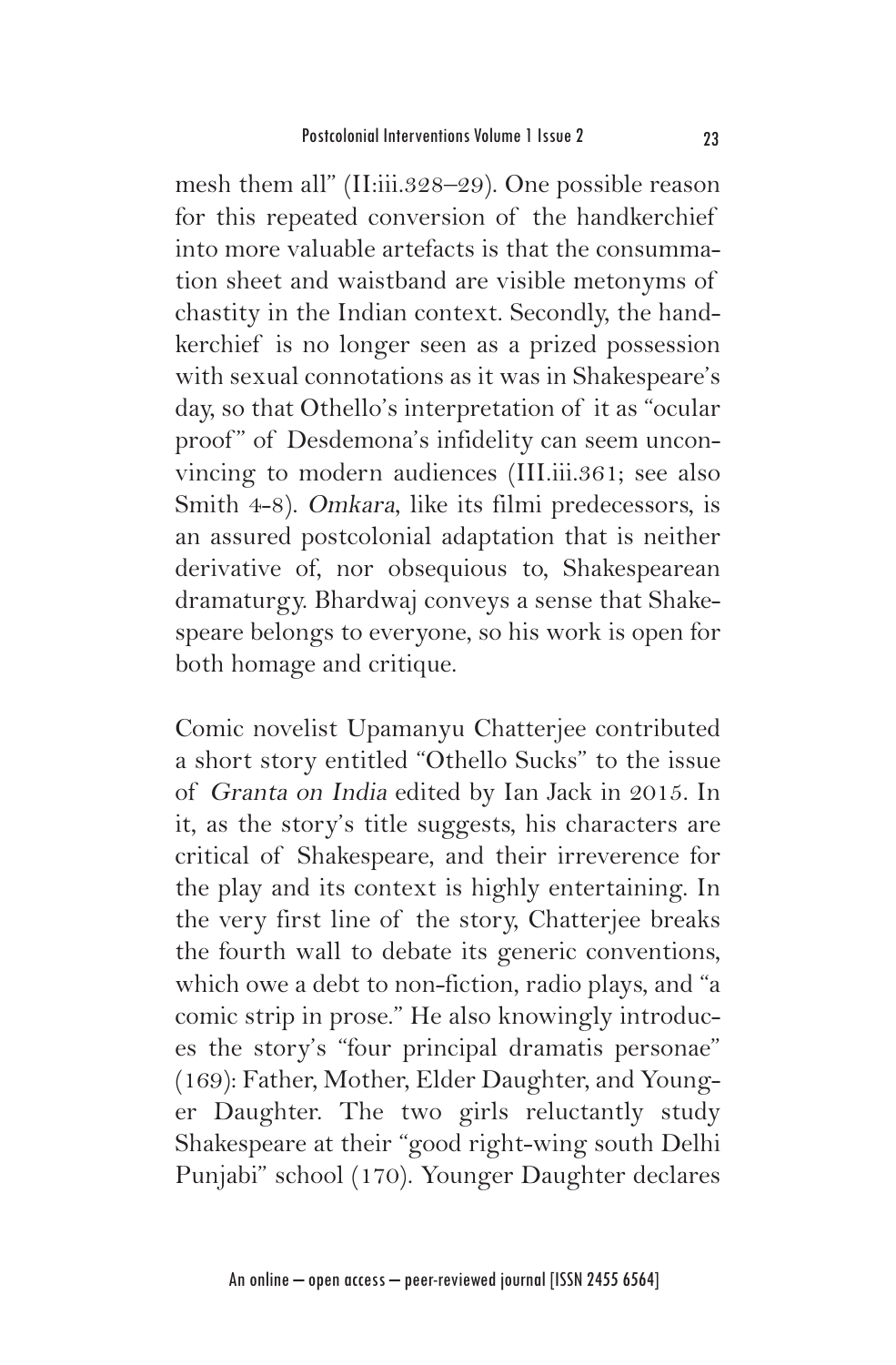mesh them all" (II:iii.328–29). One possible reason for this repeated conversion of the handkerchief into more valuable artefacts is that the consummation sheet and waistband are visible metonyms of chastity in the Indian context. Secondly, the handkerchief is no longer seen as a prized possession with sexual connotations as it was in Shakespeare's day, so that Othello's interpretation of it as "ocular proof" of Desdemona's infidelity can seem unconvincing to modern audiences (III.iii.361; see also Smith 4-8). Omkara, like its filmi predecessors, is an assured postcolonial adaptation that is neither derivative of, nor obsequious to, Shakespearean dramaturgy. Bhardwaj conveys a sense that Shakespeare belongs to everyone, so his work is open for both homage and critique.

Comic novelist Upamanyu Chatterjee contributed a short story entitled "Othello Sucks" to the issue of Granta on India edited by Ian Jack in 2015. In it, as the story's title suggests, his characters are critical of Shakespeare, and their irreverence for the play and its context is highly entertaining. In the very first line of the story, Chatterjee breaks the fourth wall to debate its generic conventions, which owe a debt to non-fiction, radio plays, and "a comic strip in prose." He also knowingly introduces the story's "four principal dramatis personae" (169): Father, Mother, Elder Daughter, and Younger Daughter. The two girls reluctantly study Shakespeare at their "good right-wing south Delhi Punjabi" school (170). Younger Daughter declares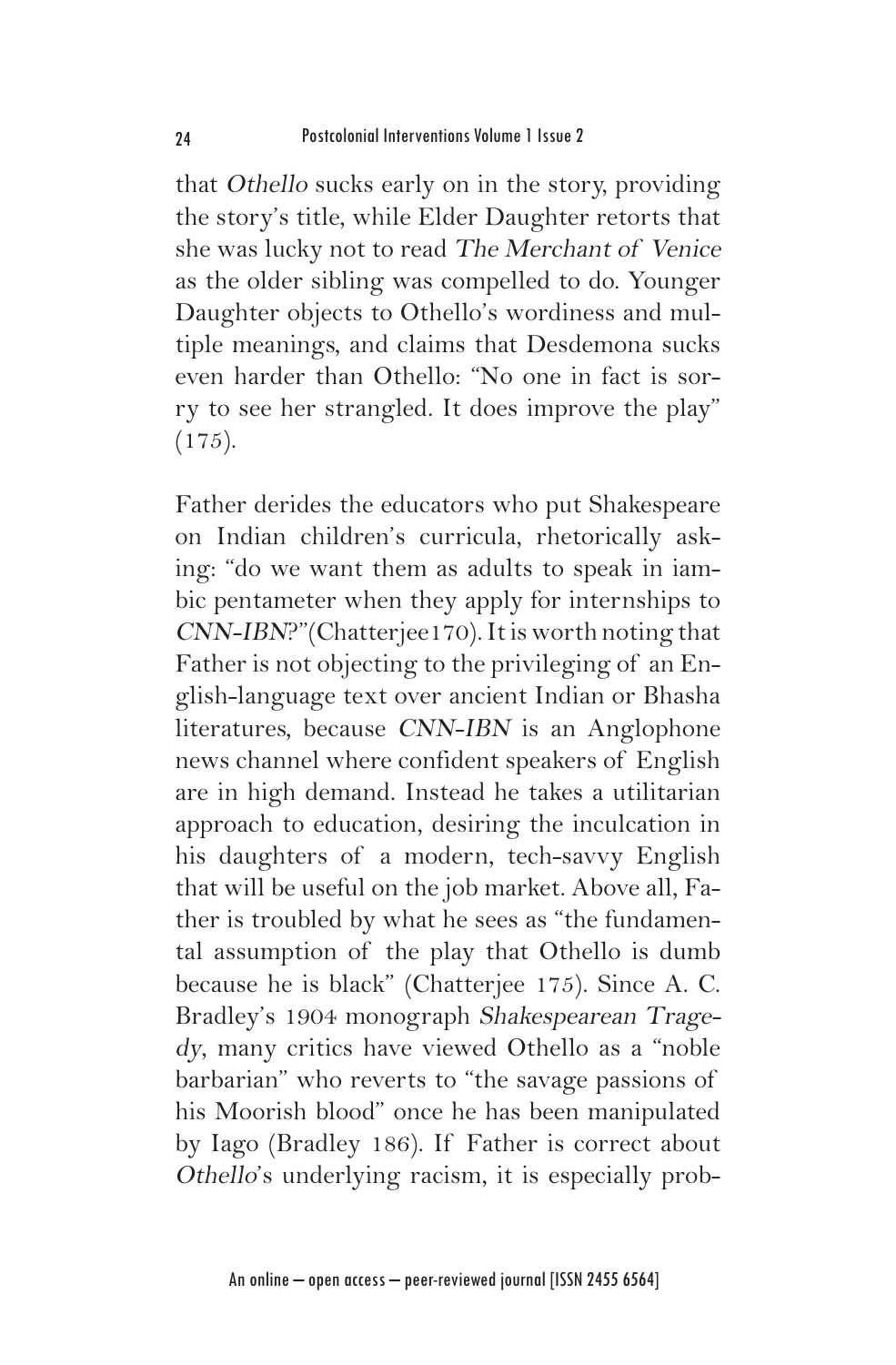that Othello sucks early on in the story, providing the story's title, while Elder Daughter retorts that she was lucky not to read The Merchant of Venice as the older sibling was compelled to do. Younger Daughter objects to Othello's wordiness and multiple meanings, and claims that Desdemona sucks even harder than Othello: "No one in fact is sorry to see her strangled. It does improve the play"  $(175).$ 

Father derides the educators who put Shakespeare on Indian children's curricula, rhetorically asking: "do we want them as adults to speak in iambic pentameter when they apply for internships to CNN-IBN?"(Chatterjee170). It is worth noting that Father is not objecting to the privileging of an English-language text over ancient Indian or Bhasha literatures, because CNN-IBN is an Anglophone news channel where confident speakers of English are in high demand. Instead he takes a utilitarian approach to education, desiring the inculcation in his daughters of a modern, tech-savvy English that will be useful on the job market. Above all, Father is troubled by what he sees as "the fundamental assumption of the play that Othello is dumb because he is black" (Chatterjee 175). Since A. C. Bradley's 1904 monograph Shakespearean Tragedy, many critics have viewed Othello as a "noble barbarian" who reverts to "the savage passions of his Moorish blood" once he has been manipulated by Iago (Bradley 186). If Father is correct about Othello's underlying racism, it is especially prob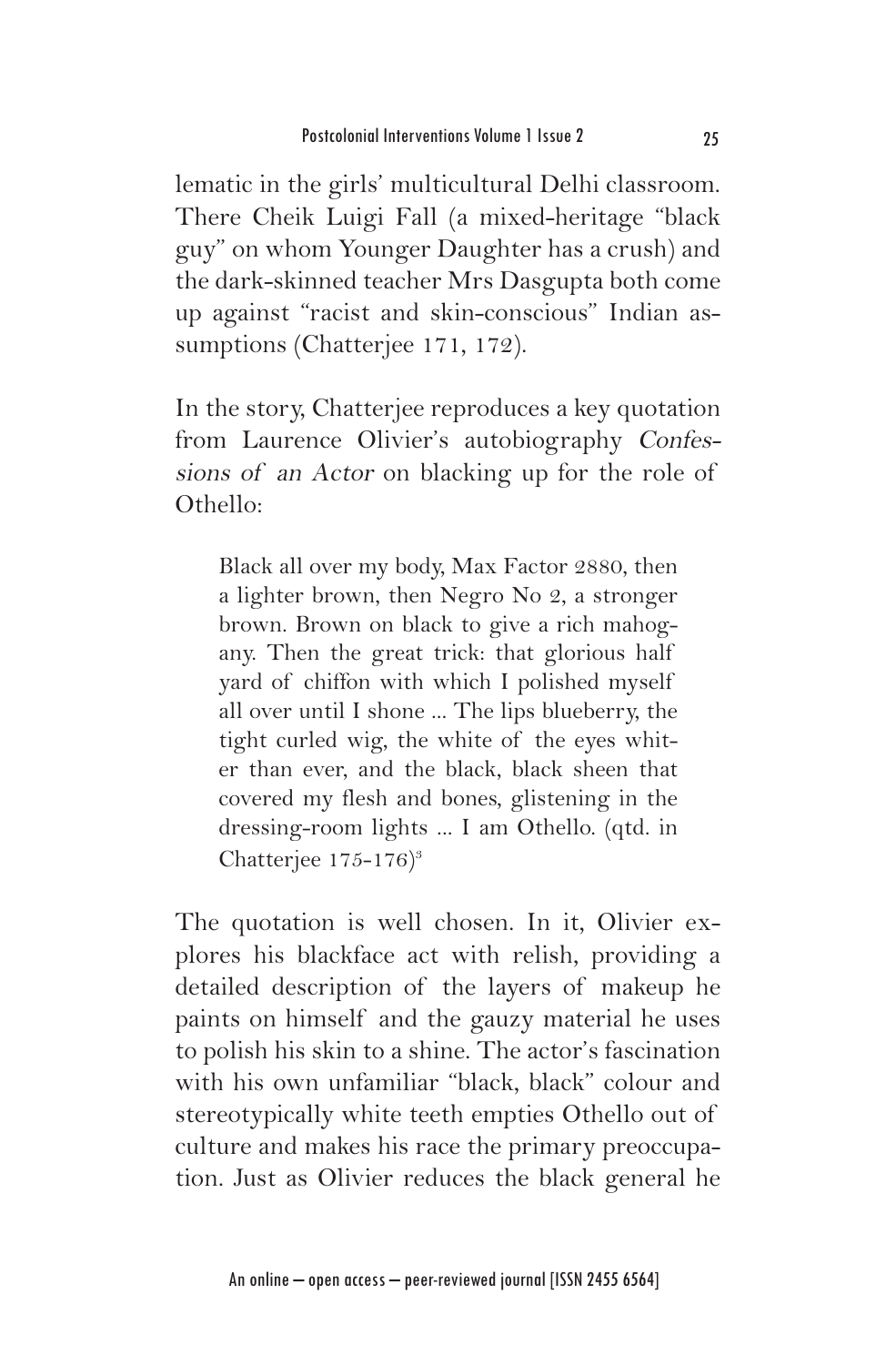lematic in the girls' multicultural Delhi classroom. There Cheik Luigi Fall (a mixed-heritage "black guy" on whom Younger Daughter has a crush) and the dark-skinned teacher Mrs Dasgupta both come up against "racist and skin-conscious" Indian assumptions (Chatterjee 171, 172).

In the story, Chatterjee reproduces a key quotation from Laurence Olivier's autobiography Confessions of an Actor on blacking up for the role of Othello:

Black all over my body, Max Factor 2880, then a lighter brown, then Negro No 2, a stronger brown. Brown on black to give a rich mahogany. Then the great trick: that glorious half yard of chiffon with which I polished myself all over until I shone ... The lips blueberry, the tight curled wig, the white of the eyes whiter than ever, and the black, black sheen that covered my flesh and bones, glistening in the dressing-room lights ... I am Othello. (qtd. in Chatterjee  $175-176$ <sup>3</sup>

The quotation is well chosen. In it, Olivier explores his blackface act with relish, providing a detailed description of the layers of makeup he paints on himself and the gauzy material he uses to polish his skin to a shine. The actor's fascination with his own unfamiliar "black, black" colour and stereotypically white teeth empties Othello out of culture and makes his race the primary preoccupation. Just as Olivier reduces the black general he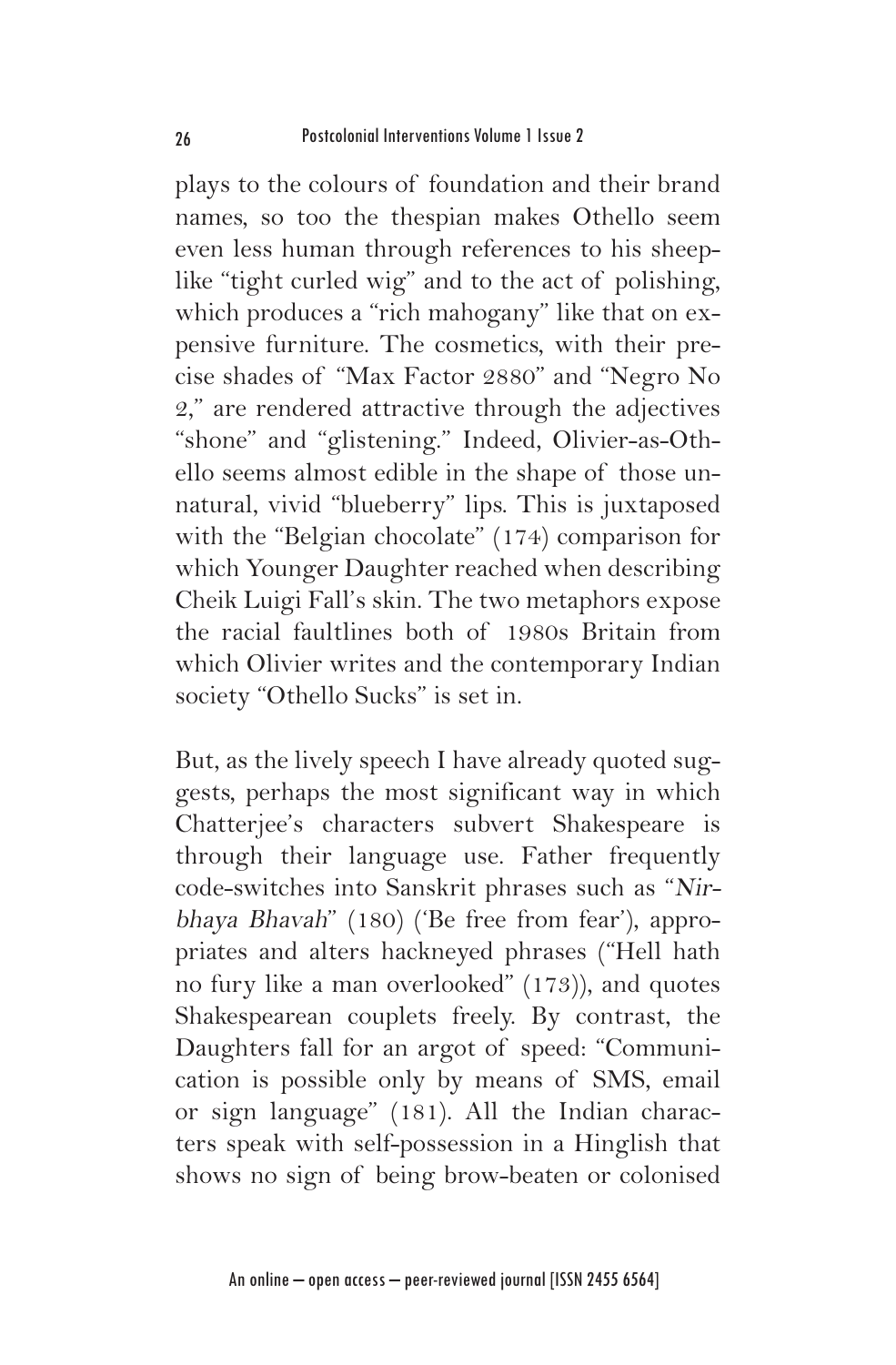plays to the colours of foundation and their brand names, so too the thespian makes Othello seem even less human through references to his sheeplike "tight curled wig" and to the act of polishing, which produces a "rich mahogany" like that on expensive furniture. The cosmetics, with their precise shades of "Max Factor 2880" and "Negro No 2," are rendered attractive through the adjectives "shone" and "glistening." Indeed, Olivier-as-Othello seems almost edible in the shape of those unnatural, vivid "blueberry" lips. This is juxtaposed with the "Belgian chocolate" (174) comparison for which Younger Daughter reached when describing Cheik Luigi Fall's skin. The two metaphors expose the racial faultlines both of 1980s Britain from which Olivier writes and the contemporary Indian society "Othello Sucks" is set in.

But, as the lively speech I have already quoted suggests, perhaps the most significant way in which Chatterjee's characters subvert Shakespeare is through their language use. Father frequently code-switches into Sanskrit phrases such as "Nirbhaya Bhavah" (180) ('Be free from fear'), appropriates and alters hackneyed phrases ("Hell hath no fury like a man overlooked" (173)), and quotes Shakespearean couplets freely. By contrast, the Daughters fall for an argot of speed: "Communication is possible only by means of SMS, email or sign language" (181). All the Indian characters speak with self-possession in a Hinglish that shows no sign of being brow-beaten or colonised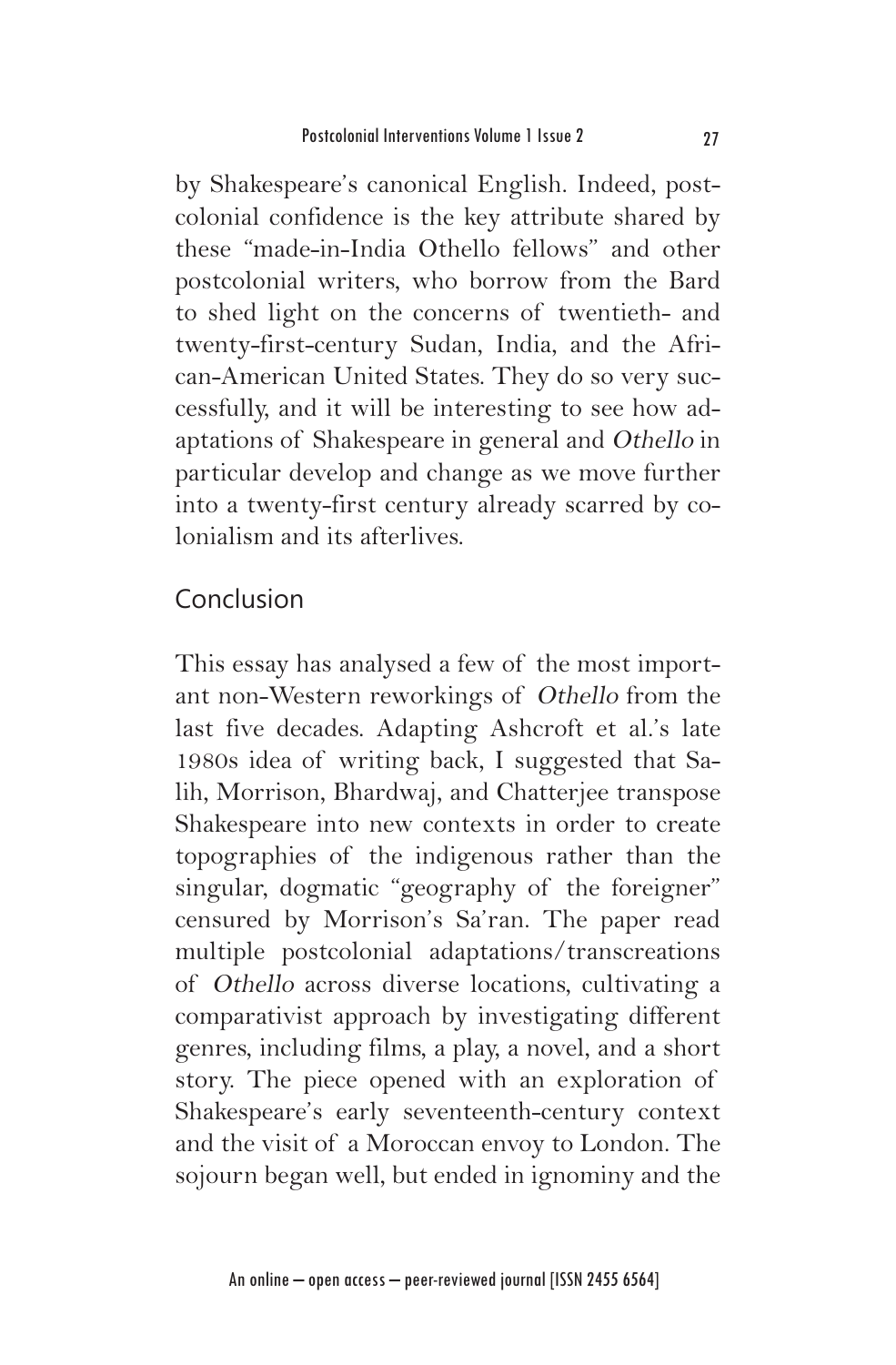by Shakespeare's canonical English. Indeed, postcolonial confidence is the key attribute shared by these "made-in-India Othello fellows" and other postcolonial writers, who borrow from the Bard to shed light on the concerns of twentieth- and twenty-first-century Sudan, India, and the African-American United States. They do so very successfully, and it will be interesting to see how adaptations of Shakespeare in general and Othello in particular develop and change as we move further into a twenty-first century already scarred by colonialism and its afterlives.

# Conclusion

This essay has analysed a few of the most important non-Western reworkings of Othello from the last five decades. Adapting Ashcroft et al.'s late 1980s idea of writing back, I suggested that Salih, Morrison, Bhardwaj, and Chatterjee transpose Shakespeare into new contexts in order to create topographies of the indigenous rather than the singular, dogmatic "geography of the foreigner" censured by Morrison's Sa'ran. The paper read multiple postcolonial adaptations/transcreations of Othello across diverse locations, cultivating a comparativist approach by investigating different genres, including films, a play, a novel, and a short story. The piece opened with an exploration of Shakespeare's early seventeenth-century context and the visit of a Moroccan envoy to London. The sojourn began well, but ended in ignominy and the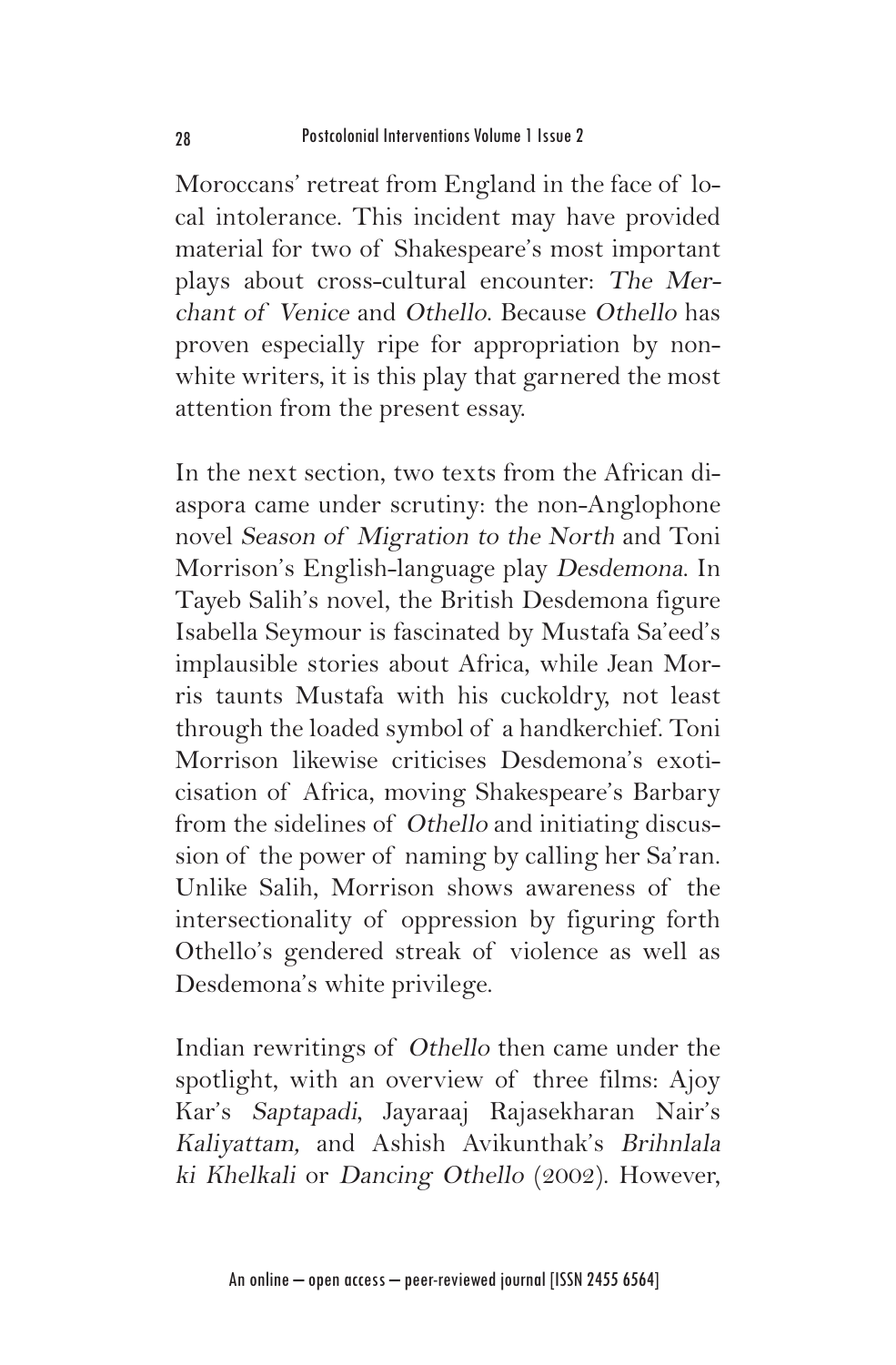Moroccans' retreat from England in the face of local intolerance. This incident may have provided material for two of Shakespeare's most important plays about cross-cultural encounter: The Merchant of Venice and Othello. Because Othello has proven especially ripe for appropriation by nonwhite writers, it is this play that garnered the most attention from the present essay.

In the next section, two texts from the African diaspora came under scrutiny: the non-Anglophone novel Season of Migration to the North and Toni Morrison's English-language play Desdemona. In Tayeb Salih's novel, the British Desdemona figure Isabella Seymour is fascinated by Mustafa Sa'eed's implausible stories about Africa, while Jean Morris taunts Mustafa with his cuckoldry, not least through the loaded symbol of a handkerchief. Toni Morrison likewise criticises Desdemona's exoticisation of Africa, moving Shakespeare's Barbary from the sidelines of Othello and initiating discussion of the power of naming by calling her Sa'ran. Unlike Salih, Morrison shows awareness of the intersectionality of oppression by figuring forth Othello's gendered streak of violence as well as Desdemona's white privilege.

Indian rewritings of Othello then came under the spotlight, with an overview of three films: Ajoy Kar's Saptapadi, Jayaraaj Rajasekharan Nair's Kaliyattam, and Ashish Avikunthak's Brihnlala ki Khelkali or Dancing Othello (2002). However,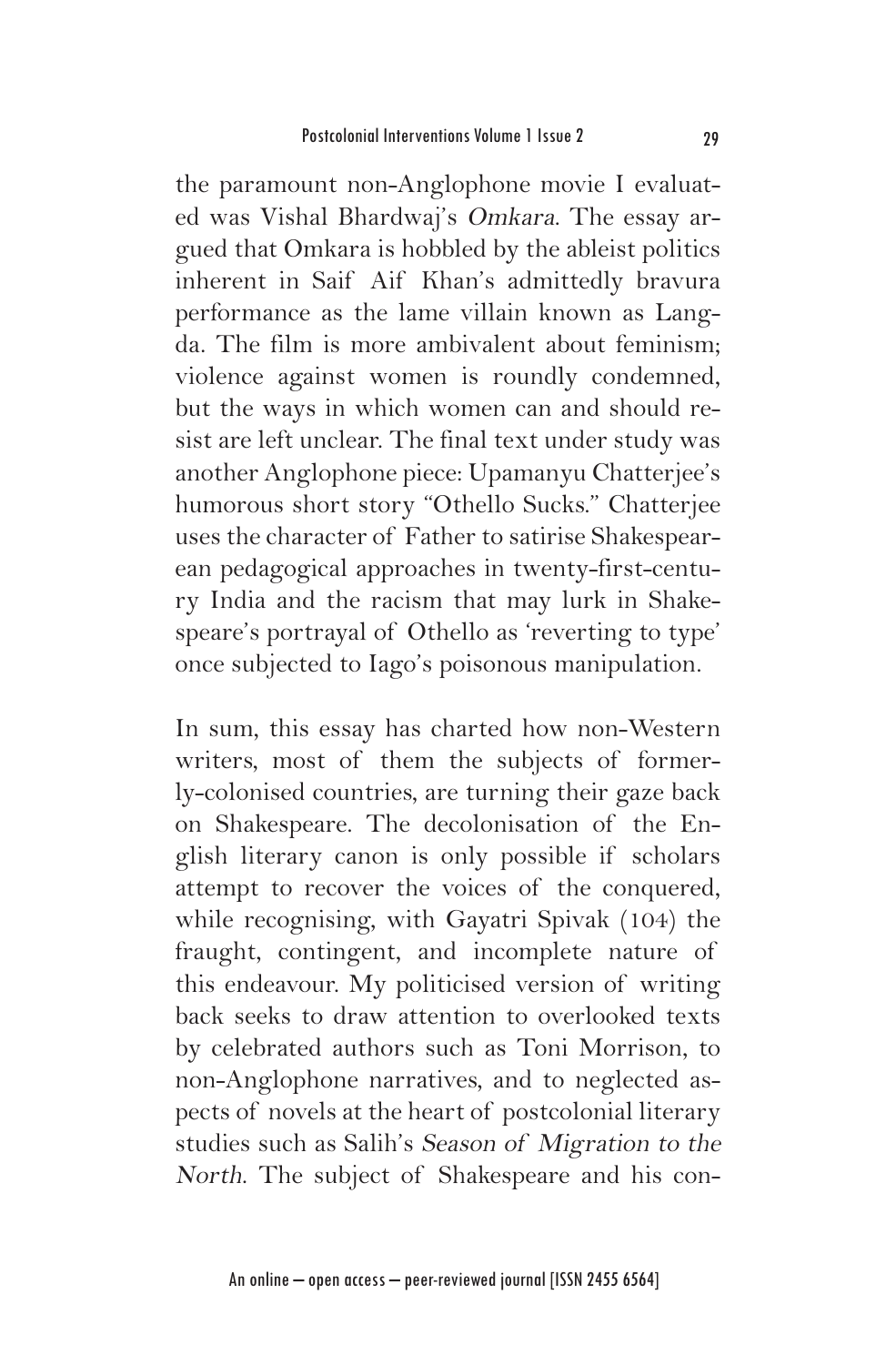the paramount non-Anglophone movie I evaluated was Vishal Bhardwaj's Omkara. The essay argued that Omkara is hobbled by the ableist politics inherent in Saif Aif Khan's admittedly bravura performance as the lame villain known as Langda. The film is more ambivalent about feminism; violence against women is roundly condemned, but the ways in which women can and should resist are left unclear. The final text under study was another Anglophone piece: Upamanyu Chatterjee's humorous short story "Othello Sucks." Chatterjee uses the character of Father to satirise Shakespearean pedagogical approaches in twenty-first-century India and the racism that may lurk in Shakespeare's portrayal of Othello as 'reverting to type' once subjected to Iago's poisonous manipulation.

In sum, this essay has charted how non-Western writers, most of them the subjects of formerly-colonised countries, are turning their gaze back on Shakespeare. The decolonisation of the English literary canon is only possible if scholars attempt to recover the voices of the conquered, while recognising, with Gayatri Spivak (104) the fraught, contingent, and incomplete nature of this endeavour. My politicised version of writing back seeks to draw attention to overlooked texts by celebrated authors such as Toni Morrison, to non-Anglophone narratives, and to neglected aspects of novels at the heart of postcolonial literary studies such as Salih's Season of Migration to the North. The subject of Shakespeare and his con-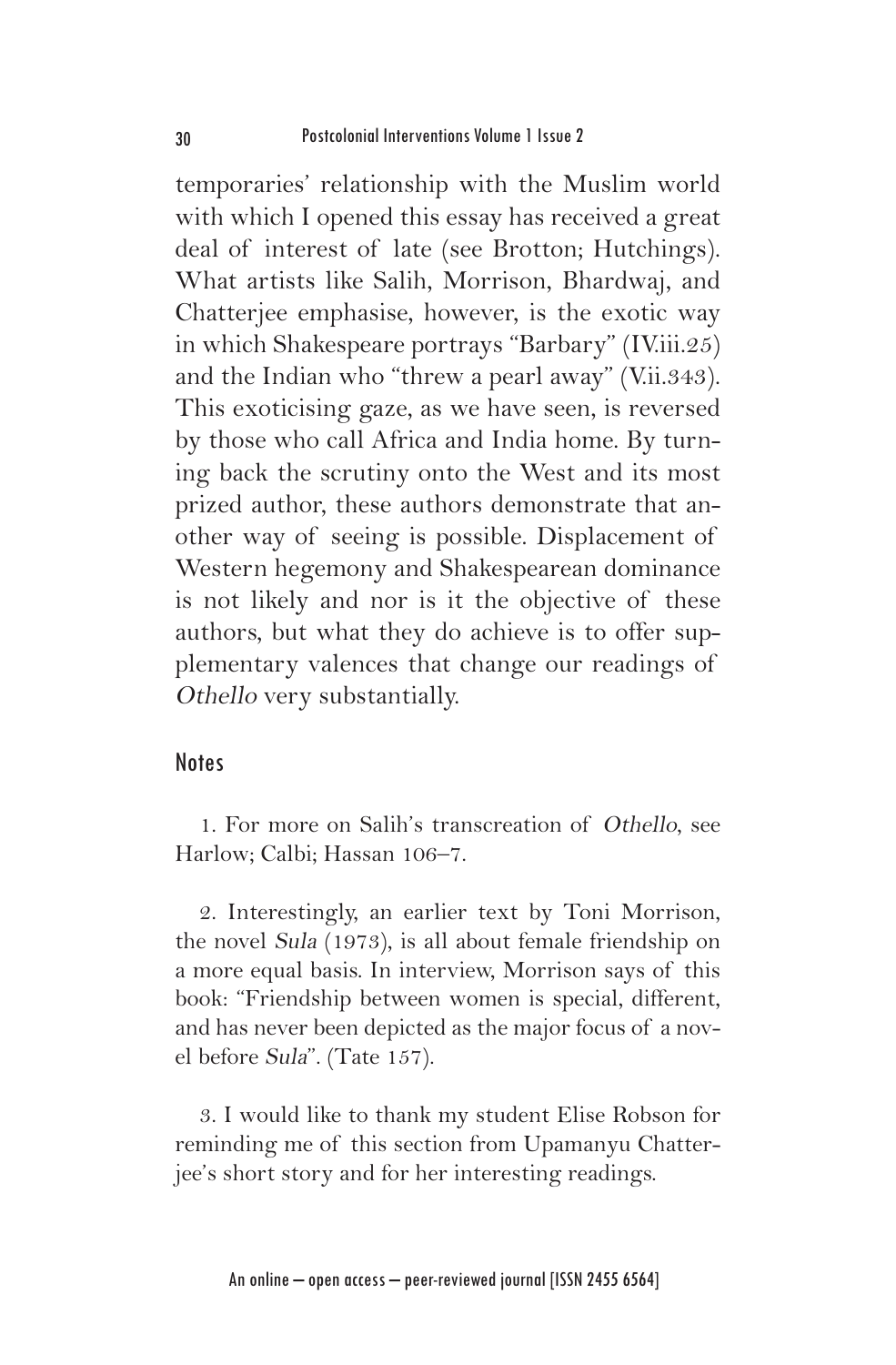temporaries' relationship with the Muslim world with which I opened this essay has received a great deal of interest of late (see Brotton; Hutchings). What artists like Salih, Morrison, Bhardwaj, and Chatterjee emphasise, however, is the exotic way in which Shakespeare portrays "Barbary" (IV.iii.25) and the Indian who "threw a pearl away" (V.ii.343). This exoticising gaze, as we have seen, is reversed by those who call Africa and India home. By turning back the scrutiny onto the West and its most prized author, these authors demonstrate that another way of seeing is possible. Displacement of Western hegemony and Shakespearean dominance is not likely and nor is it the objective of these authors, but what they do achieve is to offer supplementary valences that change our readings of Othello very substantially.

#### **Notes**

1. For more on Salih's transcreation of Othello, see Harlow; Calbi; Hassan 106–7.

2. Interestingly, an earlier text by Toni Morrison, the novel Sula (1973), is all about female friendship on a more equal basis. In interview, Morrison says of this book: "Friendship between women is special, different, and has never been depicted as the major focus of a novel before Sula". (Tate 157).

3. I would like to thank my student Elise Robson for reminding me of this section from Upamanyu Chatterjee's short story and for her interesting readings.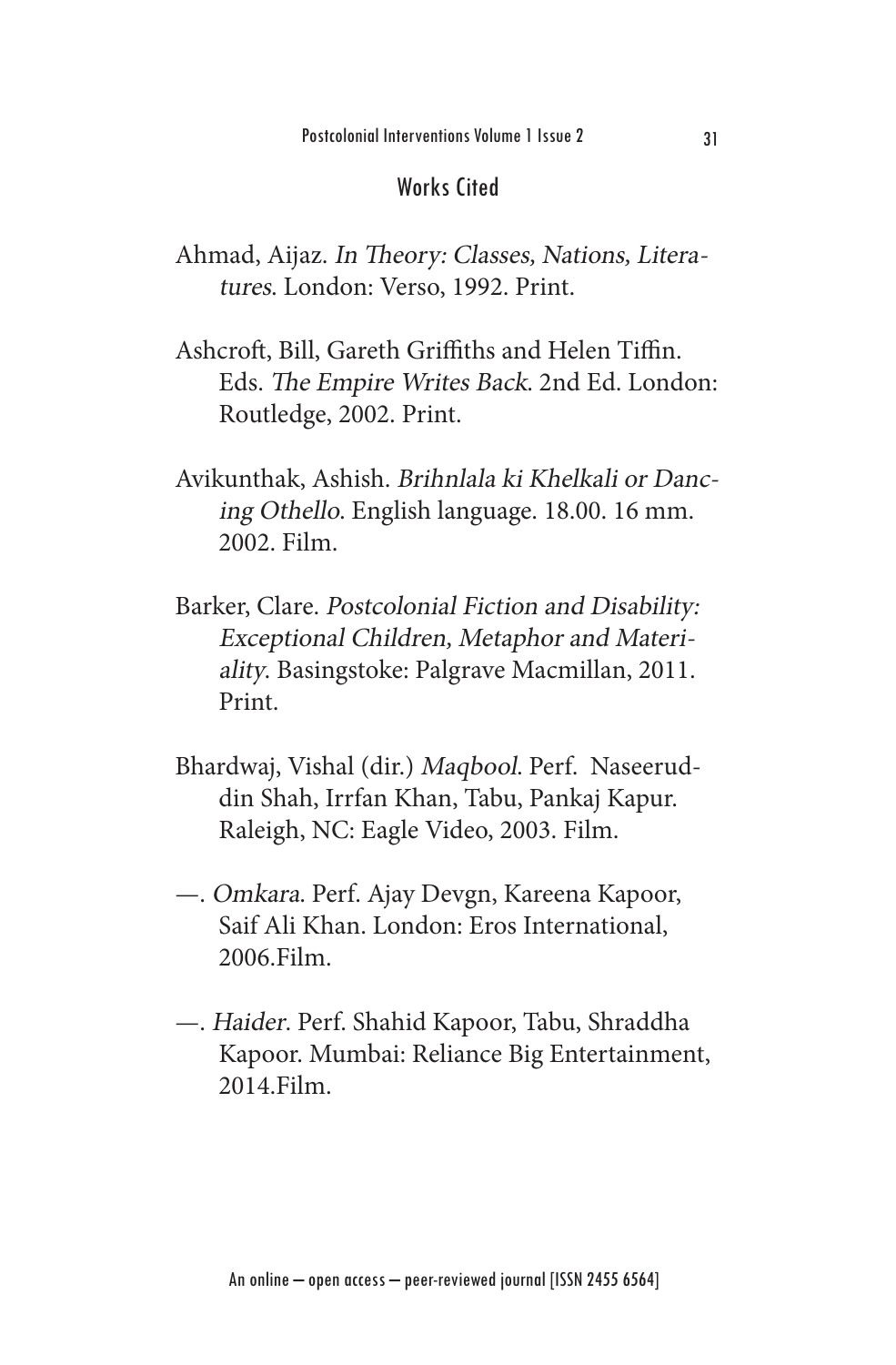#### Works Cited

- Ahmad, Aijaz. In Theory: Classes, Nations, Literatures. London: Verso, 1992. Print.
- Ashcroft, Bill, Gareth Griffiths and Helen Tiffin. Eds. The Empire Writes Back. 2nd Ed. London: Routledge, 2002. Print.
- Avikunthak, Ashish. Brihnlala ki Khelkali or Dancing Othello. English language. 18.00. 16 mm. 2002. Film.
- Barker, Clare. Postcolonial Fiction and Disability: Exceptional Children, Metaphor and Materiality. Basingstoke: Palgrave Macmillan, 2011. Print.
- Bhardwaj, Vishal (dir.) Maqbool. Perf. Naseeruddin Shah, Irrfan Khan, Tabu, Pankaj Kapur. Raleigh, NC: Eagle Video, 2003. Film.
- —. Omkara. Perf. Ajay Devgn, Kareena Kapoor, Saif Ali Khan. London: Eros International, 2006.Film.
- —. Haider. Perf. Shahid Kapoor, Tabu, Shraddha Kapoor. Mumbai: Reliance Big Entertainment, 2014.Film.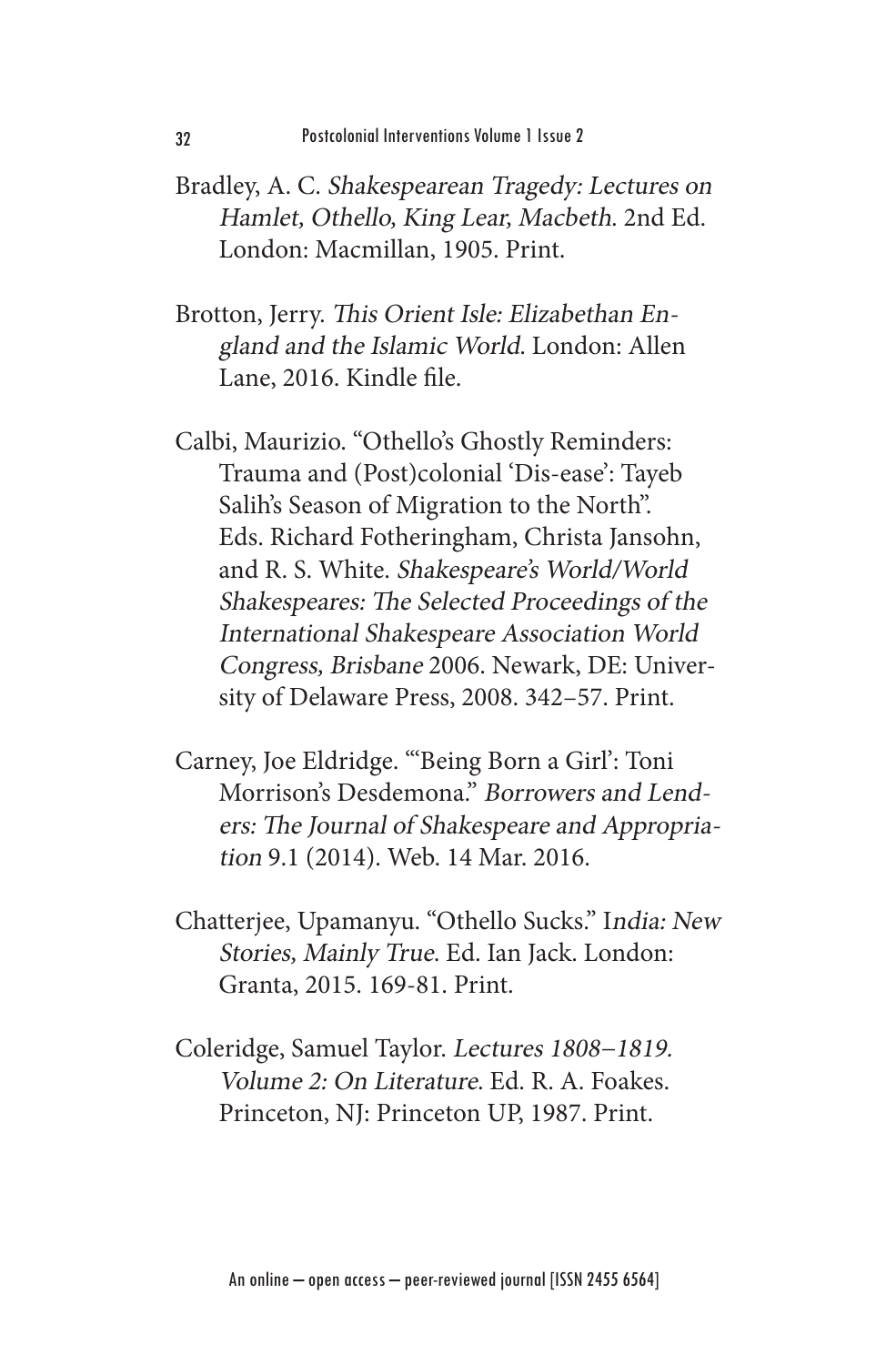- Bradley, A. C. Shakespearean Tragedy: Lectures on Hamlet, Othello, King Lear, Macbeth. 2nd Ed. London: Macmillan, 1905. Print.
- Brotton, Jerry. This Orient Isle: Elizabethan England and the Islamic World. London: Allen Lane, 2016. Kindle file.
- Calbi, Maurizio. "Othello's Ghostly Reminders: Trauma and (Post)colonial 'Dis-ease': Tayeb Salih's Season of Migration to the North". Eds. Richard Fotheringham, Christa Jansohn, and R. S. White. Shakespeare's World/World Shakespeares: The Selected Proceedings of the International Shakespeare Association World Congress, Brisbane 2006. Newark, DE: University of Delaware Press, 2008. 342–57. Print.
- Carney, Joe Eldridge. "'Being Born a Girl': Toni Morrison's Desdemona." Borrowers and Lenders: The Journal of Shakespeare and Appropriation 9.1 (2014). Web. 14 Mar. 2016.
- Chatterjee, Upamanyu. "Othello Sucks." India: New Stories, Mainly True. Ed. Ian Jack. London: Granta, 2015. 169-81. Print.
- Coleridge, Samuel Taylor. Lectures 1808−1819. Volume 2: On Literature. Ed. R. A. Foakes. Princeton, NJ: Princeton UP, 1987. Print.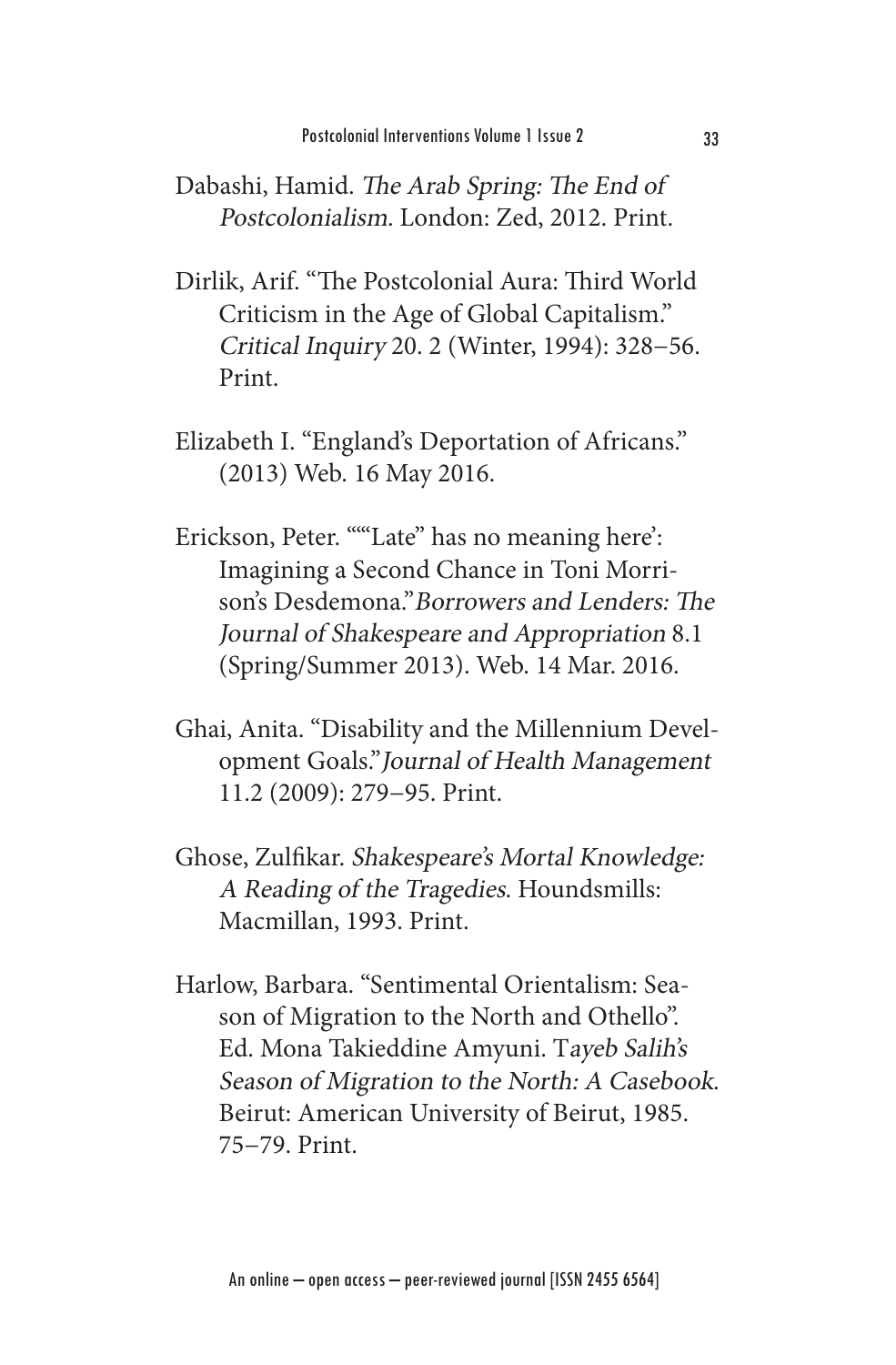- Dabashi, Hamid. The Arab Spring: The End of Postcolonialism. London: Zed, 2012. Print.
- Dirlik, Arif. "The Postcolonial Aura: Third World Criticism in the Age of Global Capitalism." Critical Inquiry 20. 2 (Winter, 1994): 328−56. Print.
- Elizabeth I. "England's Deportation of Africans." (2013) Web. 16 May 2016.
- Erickson, Peter. ""Late" has no meaning here': Imagining a Second Chance in Toni Morrison's Desdemona."Borrowers and Lenders: The Journal of Shakespeare and Appropriation 8.1 (Spring/Summer 2013). Web. 14 Mar. 2016.
- Ghai, Anita. "Disability and the Millennium Development Goals."Journal of Health Management 11.2 (2009): 279−95. Print.
- Ghose, Zulfikar. Shakespeare's Mortal Knowledge: A Reading of the Tragedies. Houndsmills: Macmillan, 1993. Print.
- Harlow, Barbara. "Sentimental Orientalism: Season of Migration to the North and Othello". Ed. Mona Takieddine Amyuni. Tayeb Salih's Season of Migration to the North: A Casebook. Beirut: American University of Beirut, 1985. 75−79. Print.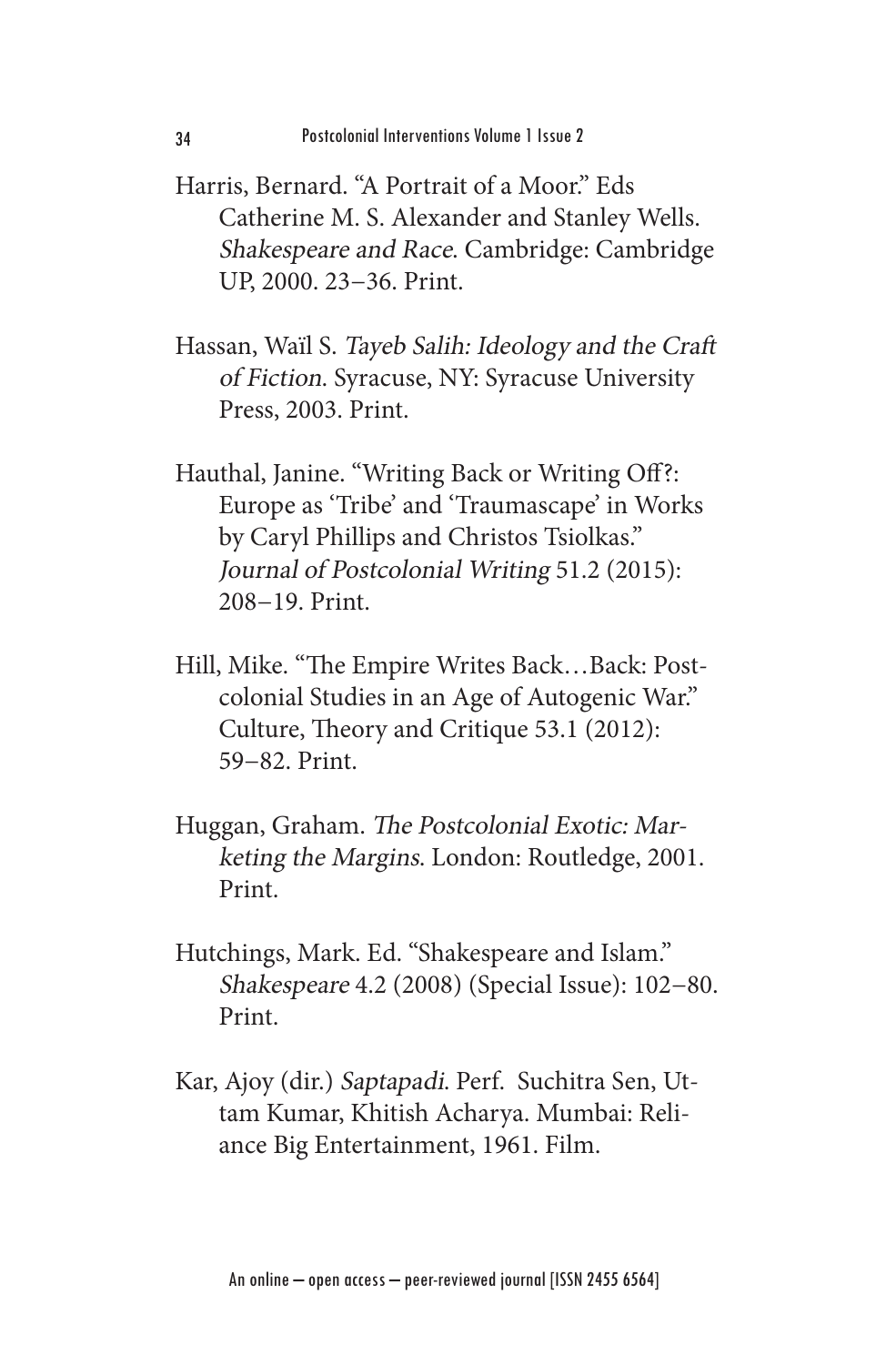- Harris, Bernard. "A Portrait of a Moor." Eds Catherine M. S. Alexander and Stanley Wells. Shakespeare and Race. Cambridge: Cambridge UP, 2000. 23−36. Print.
- Hassan, Waïl S. Tayeb Salih: Ideology and the Craft of Fiction. Syracuse, NY: Syracuse University Press, 2003. Print.
- Hauthal, Janine. "Writing Back or Writing Off?: Europe as 'Tribe' and 'Traumascape' in Works by Caryl Phillips and Christos Tsiolkas." Journal of Postcolonial Writing 51.2 (2015): 208−19. Print.
- Hill, Mike. "The Empire Writes Back…Back: Postcolonial Studies in an Age of Autogenic War." Culture, Theory and Critique 53.1 (2012): 59−82. Print.
- Huggan, Graham. The Postcolonial Exotic: Marketing the Margins. London: Routledge, 2001. Print.
- Hutchings, Mark. Ed. "Shakespeare and Islam." Shakespeare 4.2 (2008) (Special Issue): 102−80. Print.
- Kar, Ajoy (dir.) Saptapadi. Perf. Suchitra Sen, Uttam Kumar, Khitish Acharya. Mumbai: Reliance Big Entertainment, 1961. Film.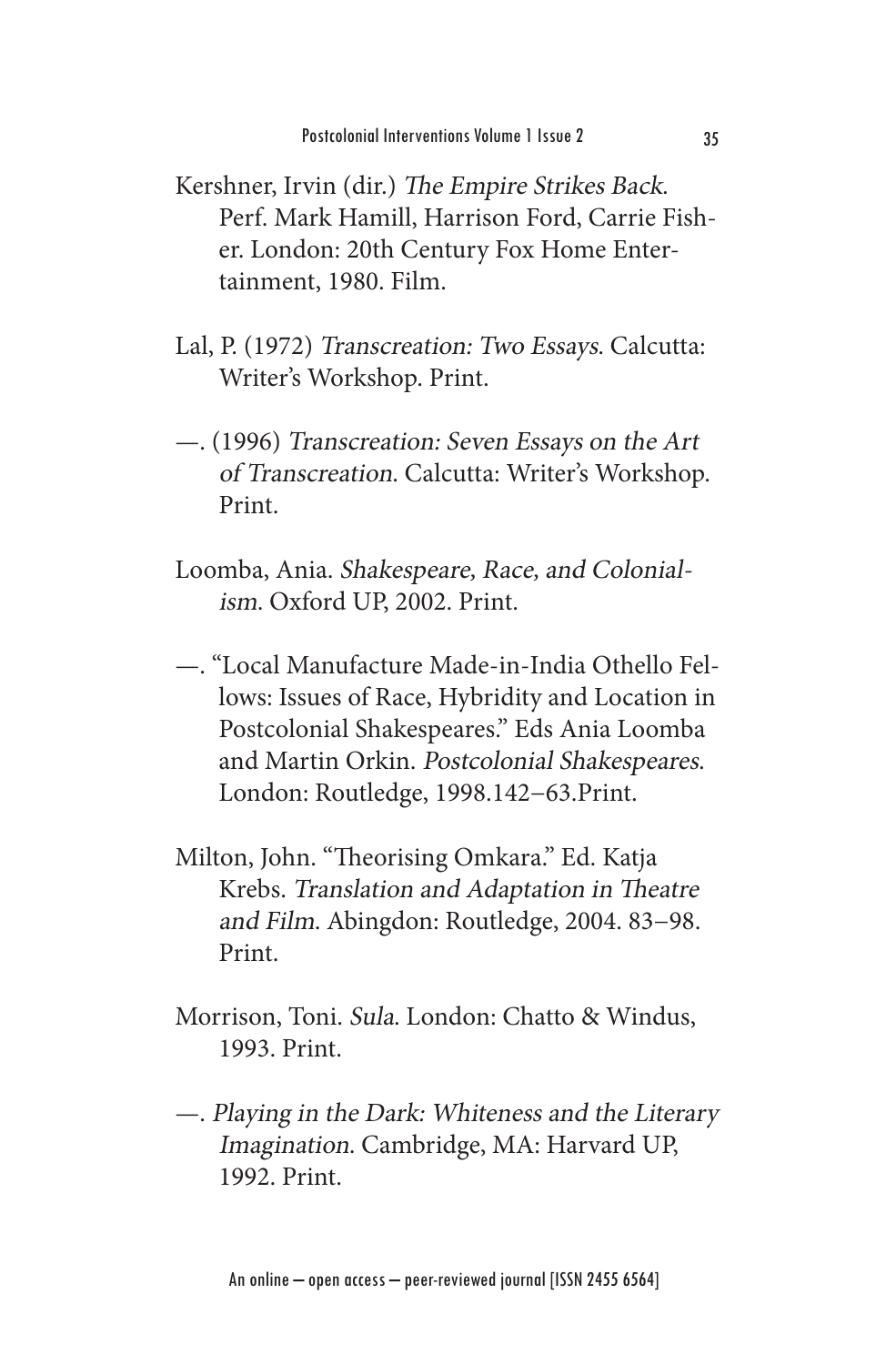- Kershner, Irvin (dir.) The Empire Strikes Back. Perf. Mark Hamill, Harrison Ford, Carrie Fisher. London: 20th Century Fox Home Entertainment, 1980. Film.
- Lal, P. (1972) Transcreation: Two Essays. Calcutta: Writer's Workshop. Print.
- —. (1996) Transcreation: Seven Essays on the Art of Transcreation. Calcutta: Writer's Workshop. Print.
- Loomba, Ania. Shakespeare, Race, and Colonialism. Oxford UP, 2002. Print.
- —. "Local Manufacture Made-in-India Othello Fellows: Issues of Race, Hybridity and Location in Postcolonial Shakespeares." Eds Ania Loomba and Martin Orkin. Postcolonial Shakespeares. London: Routledge, 1998.142−63.Print.
- Milton, John. "Theorising Omkara." Ed. Katja Krebs. Translation and Adaptation in Theatre and Film. Abingdon: Routledge, 2004. 83−98. Print.
- Morrison, Toni. Sula. London: Chatto & Windus, 1993. Print.
- —. Playing in the Dark: Whiteness and the Literary Imagination. Cambridge, MA: Harvard UP, 1992. Print.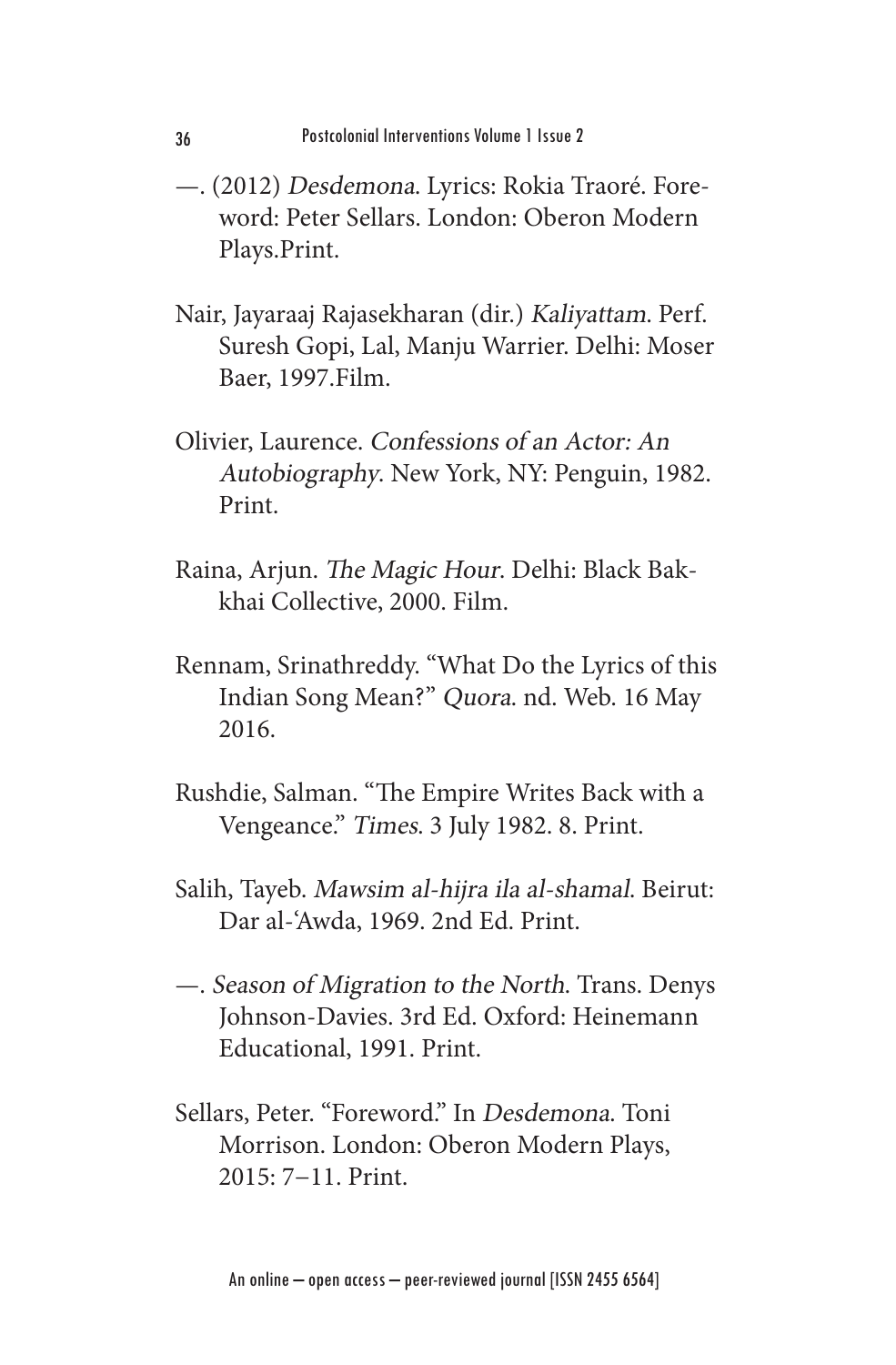- —. (2012) Desdemona. Lyrics: Rokia Traoré. Foreword: Peter Sellars. London: Oberon Modern Plays.Print.
- Nair, Jayaraaj Rajasekharan (dir.) Kaliyattam. Perf. Suresh Gopi, Lal, Manju Warrier. Delhi: Moser Baer, 1997.Film.
- Olivier, Laurence. Confessions of an Actor: An Autobiography. New York, NY: Penguin, 1982. Print.
- Raina, Arjun. The Magic Hour. Delhi: Black Bakkhai Collective, 2000. Film.
- Rennam, Srinathreddy. "What Do the Lyrics of this Indian Song Mean?" Quora. nd. Web. 16 May 2016.
- Rushdie, Salman. "The Empire Writes Back with a Vengeance." Times. 3 July 1982. 8. Print.
- Salih, Tayeb. Mawsim al-hijra ila al-shamal. Beirut: Dar al-'Awda, 1969. 2nd Ed. Print.
- —. Season of Migration to the North. Trans. Denys Johnson-Davies. 3rd Ed. Oxford: Heinemann Educational, 1991. Print.
- Sellars, Peter. "Foreword." In Desdemona. Toni Morrison. London: Oberon Modern Plays, 2015: 7−11. Print.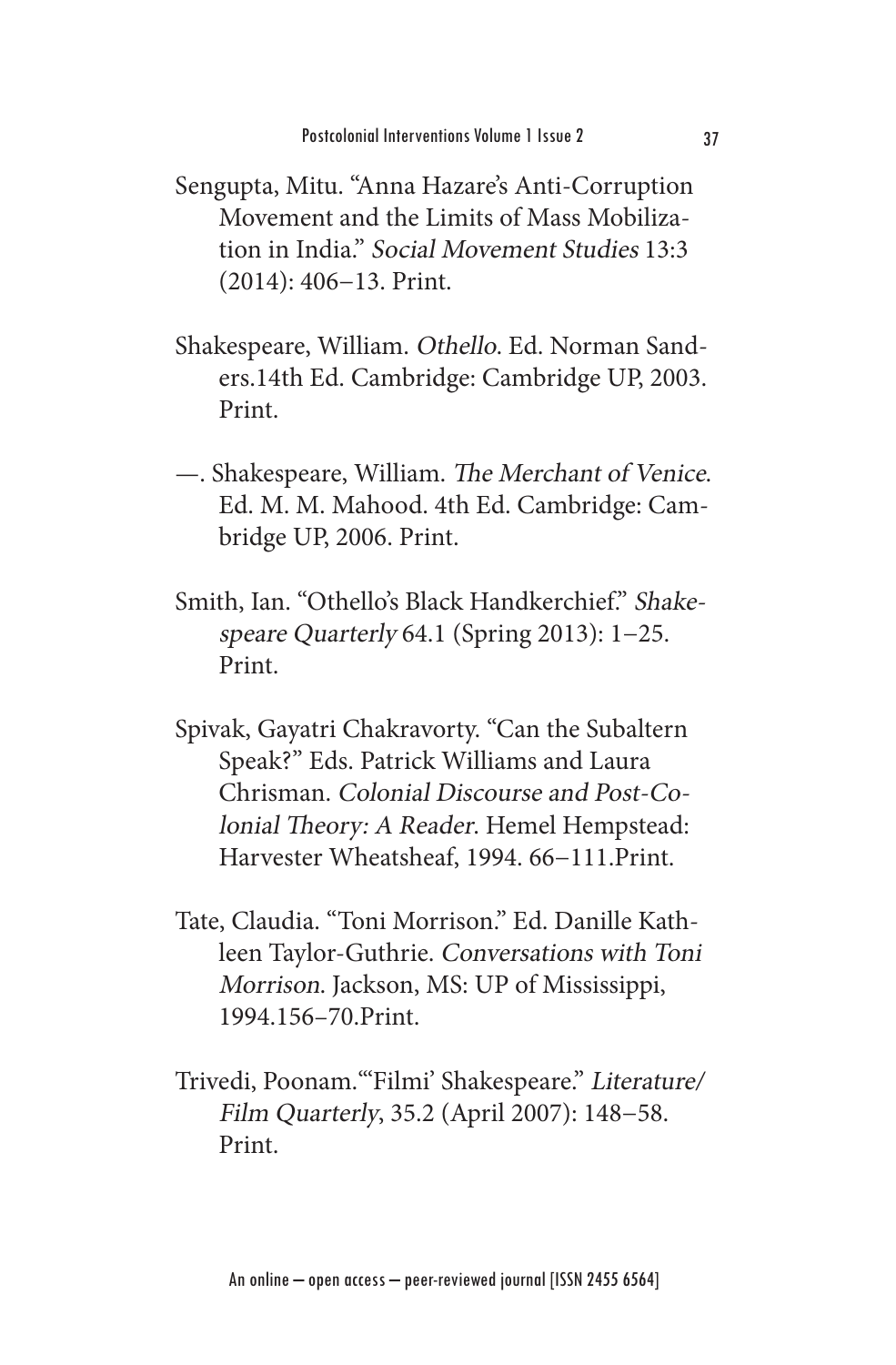- Sengupta, Mitu. "Anna Hazare's Anti-Corruption Movement and the Limits of Mass Mobilization in India." Social Movement Studies 13:3 (2014): 406−13. Print.
- Shakespeare, William. Othello. Ed. Norman Sanders.14th Ed. Cambridge: Cambridge UP, 2003. Print.
- —. Shakespeare, William. The Merchant of Venice. Ed. M. M. Mahood. 4th Ed. Cambridge: Cambridge UP, 2006. Print.
- Smith, Ian. "Othello's Black Handkerchief." Shakespeare Quarterly 64.1 (Spring 2013): 1−25. Print.
- Spivak, Gayatri Chakravorty. "Can the Subaltern Speak?" Eds. Patrick Williams and Laura Chrisman. Colonial Discourse and Post-Colonial Theory: A Reader. Hemel Hempstead: Harvester Wheatsheaf, 1994. 66−111.Print.
- Tate, Claudia. "Toni Morrison." Ed. Danille Kathleen Taylor-Guthrie. Conversations with Toni Morrison. Jackson, MS: UP of Mississippi, 1994.156–70.Print.
- Trivedi, Poonam."'Filmi' Shakespeare." Literature/ Film Quarterly, 35.2 (April 2007): 148−58. Print.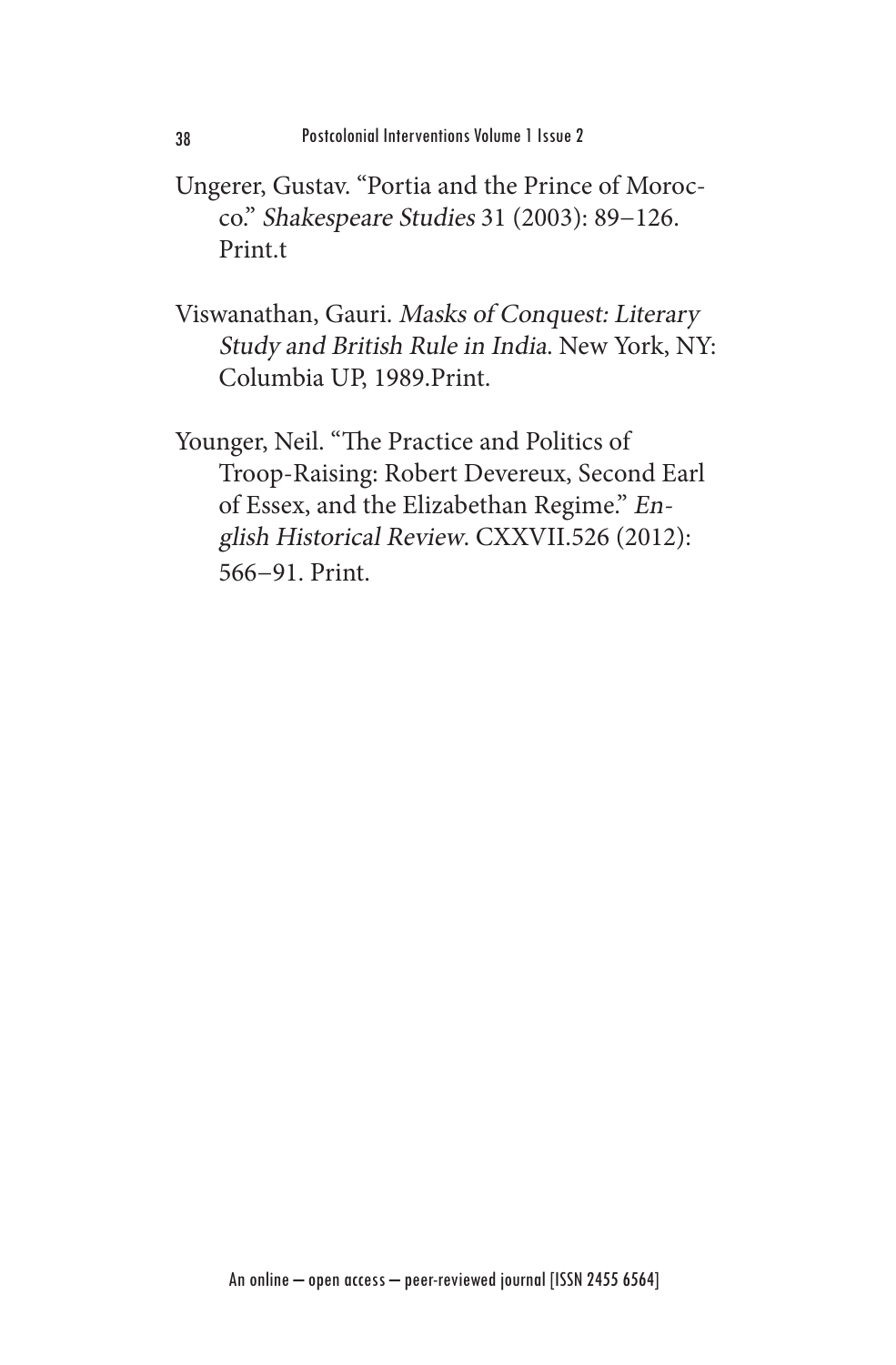- Ungerer, Gustav. "Portia and the Prince of Morocco." Shakespeare Studies 31 (2003): 89−126. Print.t
- Viswanathan, Gauri. Masks of Conquest: Literary Study and British Rule in India. New York, NY: Columbia UP, 1989.Print.

Younger, Neil. "The Practice and Politics of Troop-Raising: Robert Devereux, Second Earl of Essex, and the Elizabethan Regime." English Historical Review. CXXVII.526 (2012): 566−91. Print.